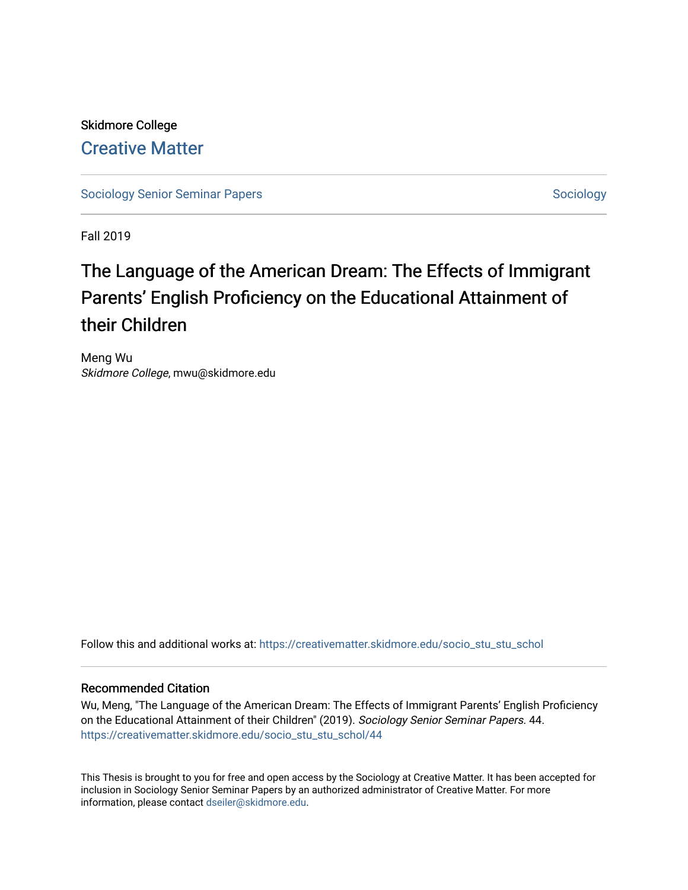Skidmore College [Creative Matter](https://creativematter.skidmore.edu/) 

[Sociology Senior Seminar Papers](https://creativematter.skidmore.edu/socio_stu_stu_schol) [Sociology](https://creativematter.skidmore.edu/stu_schol_socio_stu) Senior Seminar Papers Sociology

Fall 2019

# The Language of the American Dream: The Effects of Immigrant Parents' English Proficiency on the Educational Attainment of their Children

Meng Wu Skidmore College, mwu@skidmore.edu

Follow this and additional works at: [https://creativematter.skidmore.edu/socio\\_stu\\_stu\\_schol](https://creativematter.skidmore.edu/socio_stu_stu_schol?utm_source=creativematter.skidmore.edu%2Fsocio_stu_stu_schol%2F44&utm_medium=PDF&utm_campaign=PDFCoverPages) 

#### Recommended Citation

Wu, Meng, "The Language of the American Dream: The Effects of Immigrant Parents' English Proficiency on the Educational Attainment of their Children" (2019). Sociology Senior Seminar Papers. 44. [https://creativematter.skidmore.edu/socio\\_stu\\_stu\\_schol/44](https://creativematter.skidmore.edu/socio_stu_stu_schol/44?utm_source=creativematter.skidmore.edu%2Fsocio_stu_stu_schol%2F44&utm_medium=PDF&utm_campaign=PDFCoverPages)

This Thesis is brought to you for free and open access by the Sociology at Creative Matter. It has been accepted for inclusion in Sociology Senior Seminar Papers by an authorized administrator of Creative Matter. For more information, please contact [dseiler@skidmore.edu.](mailto:dseiler@skidmore.edu)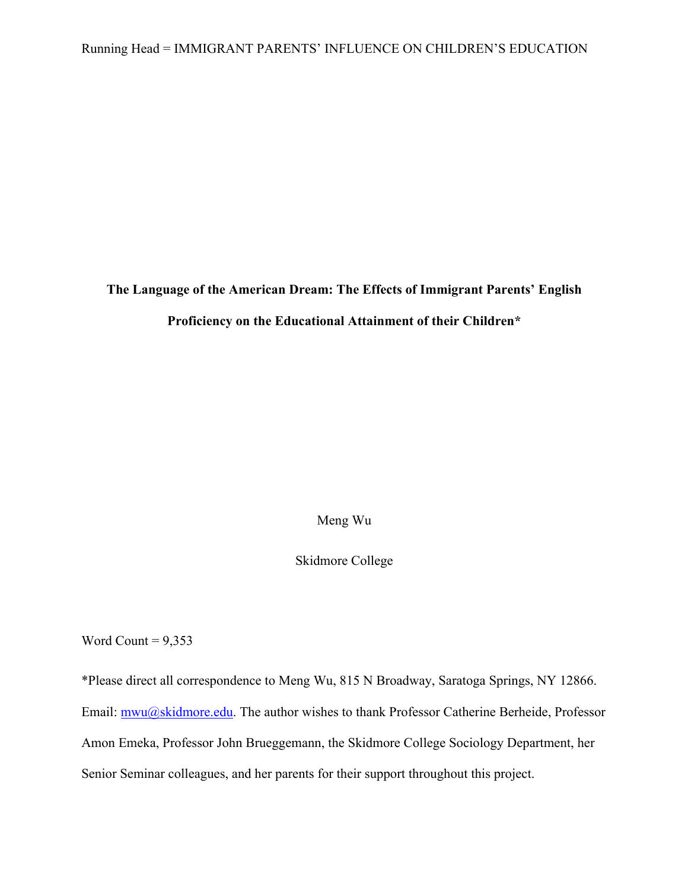**The Language of the American Dream: The Effects of Immigrant Parents' English Proficiency on the Educational Attainment of their Children\***

Meng Wu

Skidmore College

Word Count =  $9,353$ 

\*Please direct all correspondence to Meng Wu, 815 N Broadway, Saratoga Springs, NY 12866. Email: mwu@skidmore.edu. The author wishes to thank Professor Catherine Berheide, Professor Amon Emeka, Professor John Brueggemann, the Skidmore College Sociology Department, her Senior Seminar colleagues, and her parents for their support throughout this project.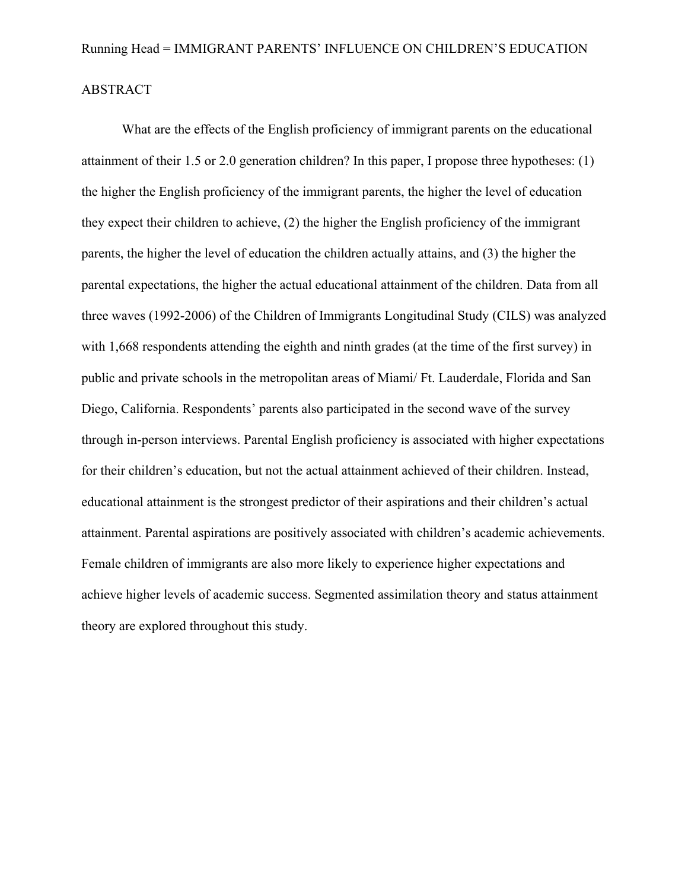## ABSTRACT

What are the effects of the English proficiency of immigrant parents on the educational attainment of their 1.5 or 2.0 generation children? In this paper, I propose three hypotheses: (1) the higher the English proficiency of the immigrant parents, the higher the level of education they expect their children to achieve, (2) the higher the English proficiency of the immigrant parents, the higher the level of education the children actually attains, and (3) the higher the parental expectations, the higher the actual educational attainment of the children. Data from all three waves (1992-2006) of the Children of Immigrants Longitudinal Study (CILS) was analyzed with 1,668 respondents attending the eighth and ninth grades (at the time of the first survey) in public and private schools in the metropolitan areas of Miami/ Ft. Lauderdale, Florida and San Diego, California. Respondents' parents also participated in the second wave of the survey through in-person interviews. Parental English proficiency is associated with higher expectations for their children's education, but not the actual attainment achieved of their children. Instead, educational attainment is the strongest predictor of their aspirations and their children's actual attainment. Parental aspirations are positively associated with children's academic achievements. Female children of immigrants are also more likely to experience higher expectations and achieve higher levels of academic success. Segmented assimilation theory and status attainment theory are explored throughout this study.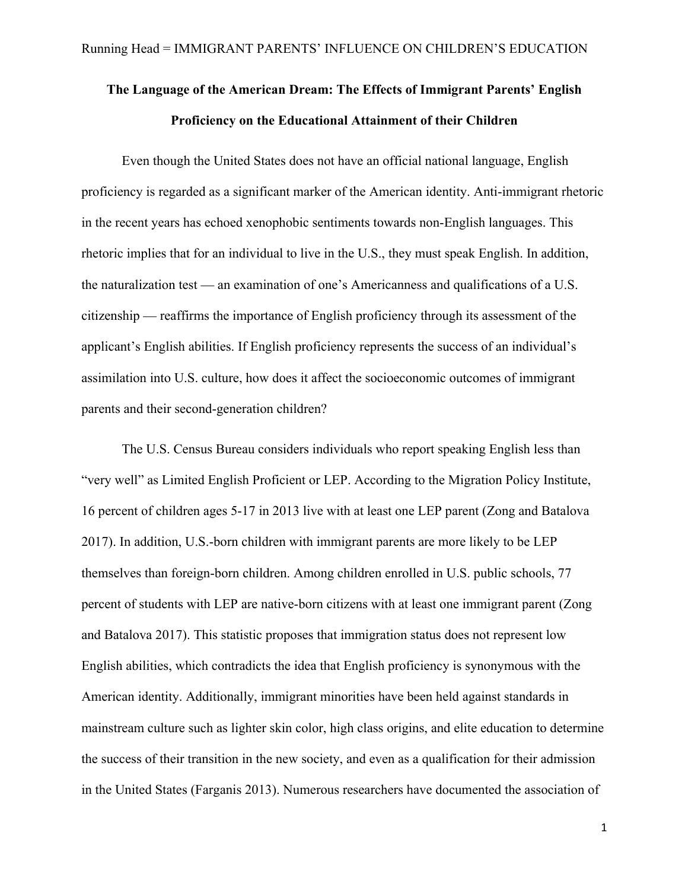## **The Language of the American Dream: The Effects of Immigrant Parents' English Proficiency on the Educational Attainment of their Children**

Even though the United States does not have an official national language, English proficiency is regarded as a significant marker of the American identity. Anti-immigrant rhetoric in the recent years has echoed xenophobic sentiments towards non-English languages. This rhetoric implies that for an individual to live in the U.S., they must speak English. In addition, the naturalization test **—** an examination of one's Americanness and qualifications of a U.S. citizenship **—** reaffirms the importance of English proficiency through its assessment of the applicant's English abilities. If English proficiency represents the success of an individual's assimilation into U.S. culture, how does it affect the socioeconomic outcomes of immigrant parents and their second-generation children?

The U.S. Census Bureau considers individuals who report speaking English less than "very well" as Limited English Proficient or LEP. According to the Migration Policy Institute, 16 percent of children ages 5-17 in 2013 live with at least one LEP parent (Zong and Batalova 2017). In addition, U.S.-born children with immigrant parents are more likely to be LEP themselves than foreign-born children. Among children enrolled in U.S. public schools, 77 percent of students with LEP are native-born citizens with at least one immigrant parent (Zong and Batalova 2017). This statistic proposes that immigration status does not represent low English abilities, which contradicts the idea that English proficiency is synonymous with the American identity. Additionally, immigrant minorities have been held against standards in mainstream culture such as lighter skin color, high class origins, and elite education to determine the success of their transition in the new society, and even as a qualification for their admission in the United States (Farganis 2013). Numerous researchers have documented the association of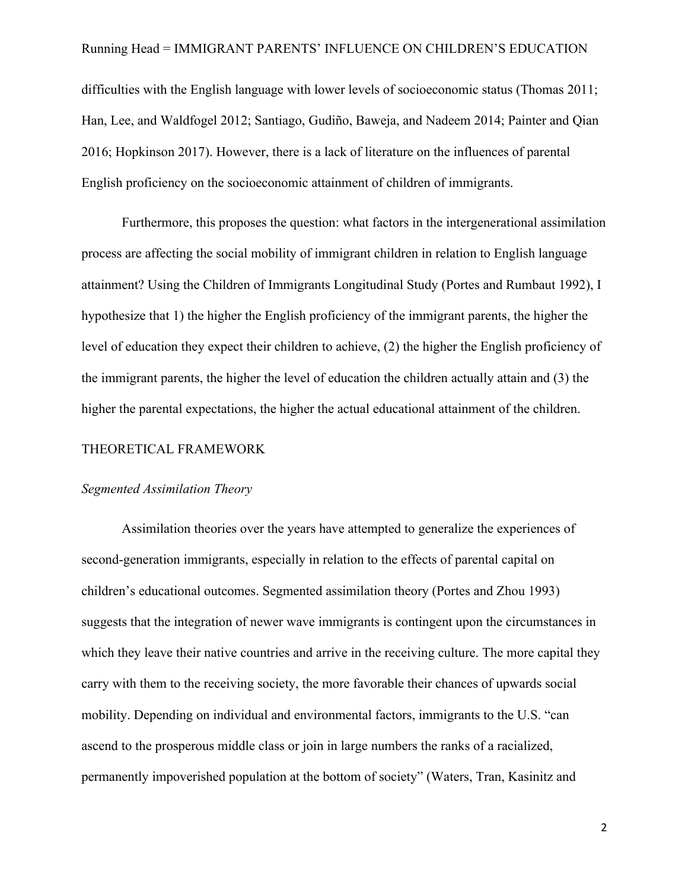difficulties with the English language with lower levels of socioeconomic status (Thomas 2011; Han, Lee, and Waldfogel 2012; Santiago, Gudiño, Baweja, and Nadeem 2014; Painter and Qian 2016; Hopkinson 2017). However, there is a lack of literature on the influences of parental English proficiency on the socioeconomic attainment of children of immigrants.

Furthermore, this proposes the question: what factors in the intergenerational assimilation process are affecting the social mobility of immigrant children in relation to English language attainment? Using the Children of Immigrants Longitudinal Study (Portes and Rumbaut 1992), I hypothesize that 1) the higher the English proficiency of the immigrant parents, the higher the level of education they expect their children to achieve, (2) the higher the English proficiency of the immigrant parents, the higher the level of education the children actually attain and (3) the higher the parental expectations, the higher the actual educational attainment of the children.

#### THEORETICAL FRAMEWORK

#### *Segmented Assimilation Theory*

Assimilation theories over the years have attempted to generalize the experiences of second-generation immigrants, especially in relation to the effects of parental capital on children's educational outcomes. Segmented assimilation theory (Portes and Zhou 1993) suggests that the integration of newer wave immigrants is contingent upon the circumstances in which they leave their native countries and arrive in the receiving culture. The more capital they carry with them to the receiving society, the more favorable their chances of upwards social mobility. Depending on individual and environmental factors, immigrants to the U.S. "can ascend to the prosperous middle class or join in large numbers the ranks of a racialized, permanently impoverished population at the bottom of society" (Waters, Tran, Kasinitz and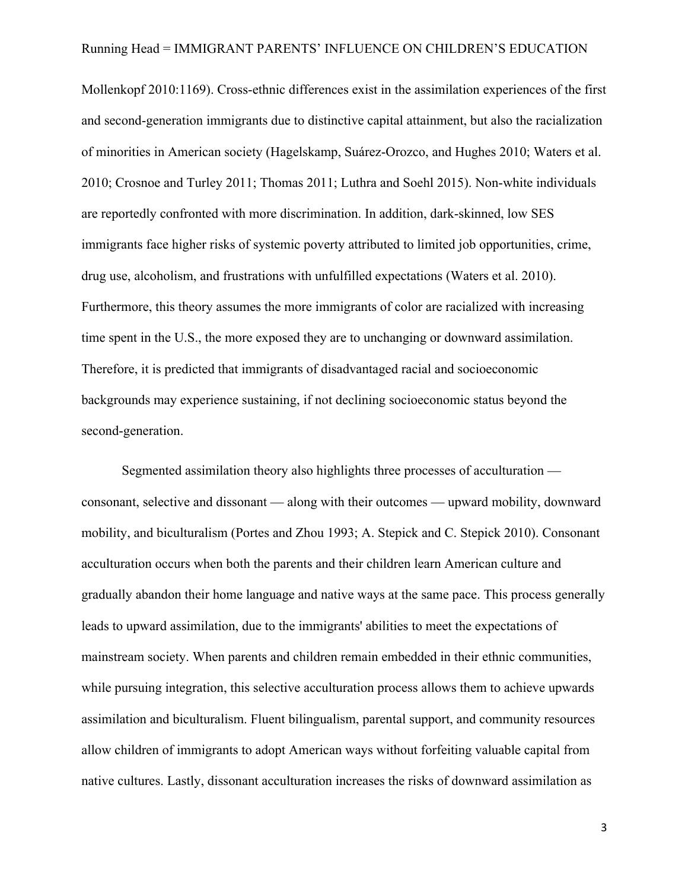Mollenkopf 2010:1169). Cross-ethnic differences exist in the assimilation experiences of the first and second-generation immigrants due to distinctive capital attainment, but also the racialization of minorities in American society (Hagelskamp, Suárez-Orozco, and Hughes 2010; Waters et al. 2010; Crosnoe and Turley 2011; Thomas 2011; Luthra and Soehl 2015). Non-white individuals are reportedly confronted with more discrimination. In addition, dark-skinned, low SES immigrants face higher risks of systemic poverty attributed to limited job opportunities, crime, drug use, alcoholism, and frustrations with unfulfilled expectations (Waters et al. 2010). Furthermore, this theory assumes the more immigrants of color are racialized with increasing time spent in the U.S., the more exposed they are to unchanging or downward assimilation. Therefore, it is predicted that immigrants of disadvantaged racial and socioeconomic backgrounds may experience sustaining, if not declining socioeconomic status beyond the second-generation.

Segmented assimilation theory also highlights three processes of acculturation  consonant, selective and dissonant **—** along with their outcomes **—** upward mobility, downward mobility, and biculturalism (Portes and Zhou 1993; A. Stepick and C. Stepick 2010). Consonant acculturation occurs when both the parents and their children learn American culture and gradually abandon their home language and native ways at the same pace. This process generally leads to upward assimilation, due to the immigrants' abilities to meet the expectations of mainstream society. When parents and children remain embedded in their ethnic communities, while pursuing integration, this selective acculturation process allows them to achieve upwards assimilation and biculturalism. Fluent bilingualism, parental support, and community resources allow children of immigrants to adopt American ways without forfeiting valuable capital from native cultures. Lastly, dissonant acculturation increases the risks of downward assimilation as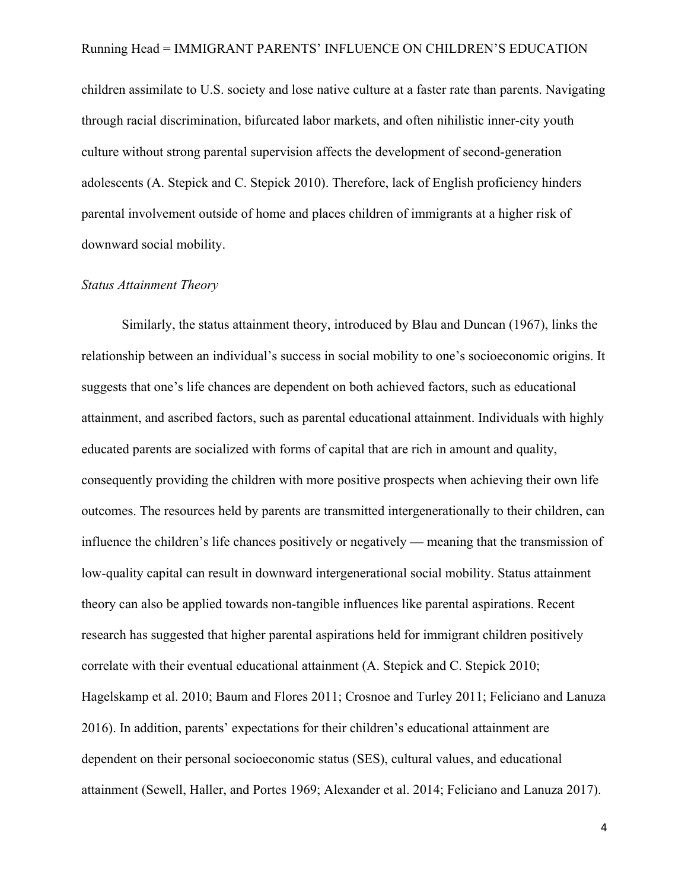children assimilate to U.S. society and lose native culture at a faster rate than parents. Navigating through racial discrimination, bifurcated labor markets, and often nihilistic inner-city youth culture without strong parental supervision affects the development of second-generation adolescents (A. Stepick and C. Stepick 2010). Therefore, lack of English proficiency hinders parental involvement outside of home and places children of immigrants at a higher risk of downward social mobility.

#### *Status Attainment Theory*

Similarly, the status attainment theory, introduced by Blau and Duncan (1967), links the relationship between an individual's success in social mobility to one's socioeconomic origins. It suggests that one's life chances are dependent on both achieved factors, such as educational attainment, and ascribed factors, such as parental educational attainment. Individuals with highly educated parents are socialized with forms of capital that are rich in amount and quality, consequently providing the children with more positive prospects when achieving their own life outcomes. The resources held by parents are transmitted intergenerationally to their children, can influence the children's life chances positively or negatively **—** meaning that the transmission of low-quality capital can result in downward intergenerational social mobility. Status attainment theory can also be applied towards non-tangible influences like parental aspirations. Recent research has suggested that higher parental aspirations held for immigrant children positively correlate with their eventual educational attainment (A. Stepick and C. Stepick 2010; Hagelskamp et al. 2010; Baum and Flores 2011; Crosnoe and Turley 2011; Feliciano and Lanuza 2016). In addition, parents' expectations for their children's educational attainment are dependent on their personal socioeconomic status (SES), cultural values, and educational attainment (Sewell, Haller, and Portes 1969; Alexander et al. 2014; Feliciano and Lanuza 2017).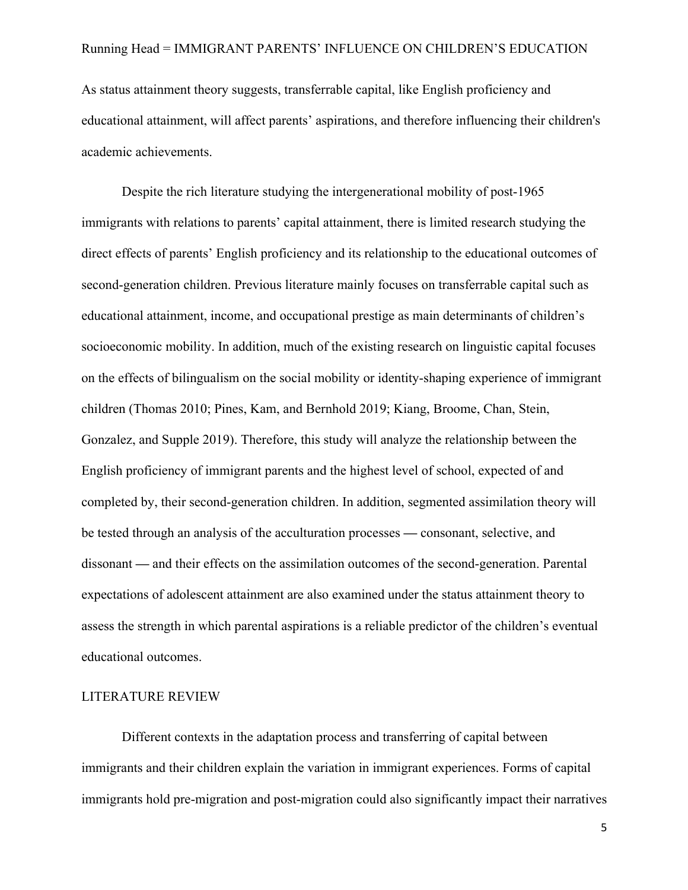As status attainment theory suggests, transferrable capital, like English proficiency and educational attainment, will affect parents' aspirations, and therefore influencing their children's academic achievements.

Despite the rich literature studying the intergenerational mobility of post-1965 immigrants with relations to parents' capital attainment, there is limited research studying the direct effects of parents' English proficiency and its relationship to the educational outcomes of second-generation children. Previous literature mainly focuses on transferrable capital such as educational attainment, income, and occupational prestige as main determinants of children's socioeconomic mobility. In addition, much of the existing research on linguistic capital focuses on the effects of bilingualism on the social mobility or identity-shaping experience of immigrant children (Thomas 2010; Pines, Kam, and Bernhold 2019; Kiang, Broome, Chan, Stein, Gonzalez, and Supple 2019). Therefore, this study will analyze the relationship between the English proficiency of immigrant parents and the highest level of school, expected of and completed by, their second-generation children. In addition, segmented assimilation theory will be tested through an analysis of the acculturation processes **—** consonant, selective, and dissonant **—** and their effects on the assimilation outcomes of the second-generation. Parental expectations of adolescent attainment are also examined under the status attainment theory to assess the strength in which parental aspirations is a reliable predictor of the children's eventual educational outcomes.

#### LITERATURE REVIEW

Different contexts in the adaptation process and transferring of capital between immigrants and their children explain the variation in immigrant experiences. Forms of capital immigrants hold pre-migration and post-migration could also significantly impact their narratives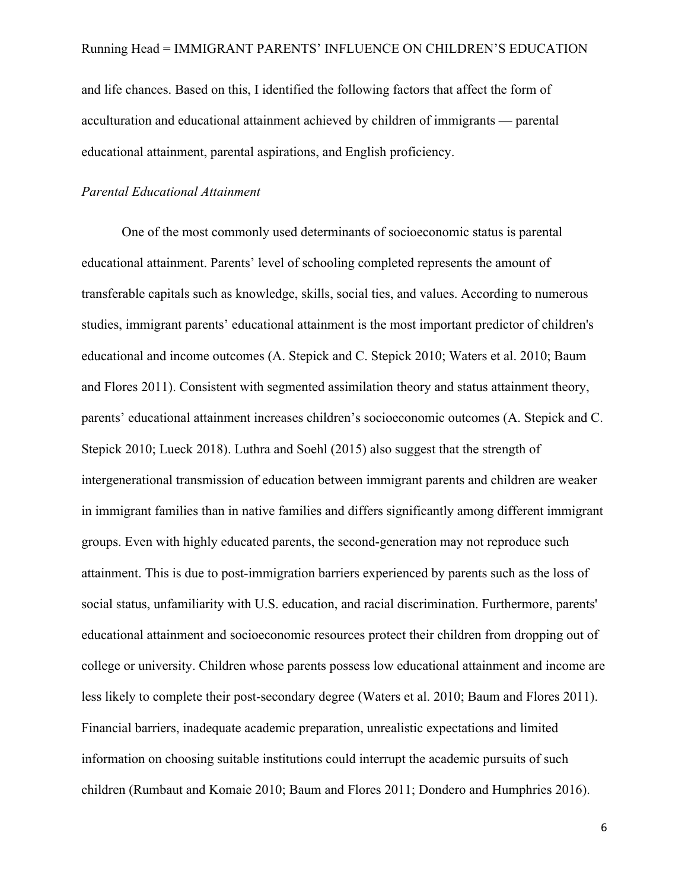and life chances. Based on this, I identified the following factors that affect the form of acculturation and educational attainment achieved by children of immigrants **—** parental educational attainment, parental aspirations, and English proficiency.

#### *Parental Educational Attainment*

One of the most commonly used determinants of socioeconomic status is parental educational attainment. Parents' level of schooling completed represents the amount of transferable capitals such as knowledge, skills, social ties, and values. According to numerous studies, immigrant parents' educational attainment is the most important predictor of children's educational and income outcomes (A. Stepick and C. Stepick 2010; Waters et al. 2010; Baum and Flores 2011). Consistent with segmented assimilation theory and status attainment theory, parents' educational attainment increases children's socioeconomic outcomes (A. Stepick and C. Stepick 2010; Lueck 2018). Luthra and Soehl (2015) also suggest that the strength of intergenerational transmission of education between immigrant parents and children are weaker in immigrant families than in native families and differs significantly among different immigrant groups. Even with highly educated parents, the second-generation may not reproduce such attainment. This is due to post-immigration barriers experienced by parents such as the loss of social status, unfamiliarity with U.S. education, and racial discrimination. Furthermore, parents' educational attainment and socioeconomic resources protect their children from dropping out of college or university. Children whose parents possess low educational attainment and income are less likely to complete their post-secondary degree (Waters et al. 2010; Baum and Flores 2011). Financial barriers, inadequate academic preparation, unrealistic expectations and limited information on choosing suitable institutions could interrupt the academic pursuits of such children (Rumbaut and Komaie 2010; Baum and Flores 2011; Dondero and Humphries 2016).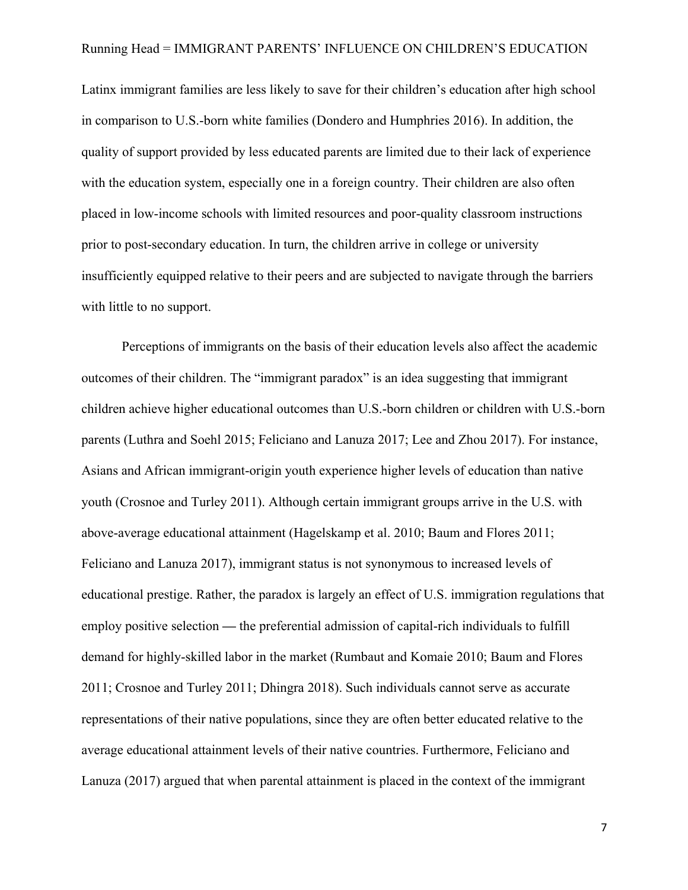Latinx immigrant families are less likely to save for their children's education after high school in comparison to U.S.-born white families (Dondero and Humphries 2016). In addition, the quality of support provided by less educated parents are limited due to their lack of experience with the education system, especially one in a foreign country. Their children are also often placed in low-income schools with limited resources and poor-quality classroom instructions prior to post-secondary education. In turn, the children arrive in college or university insufficiently equipped relative to their peers and are subjected to navigate through the barriers with little to no support.

Perceptions of immigrants on the basis of their education levels also affect the academic outcomes of their children. The "immigrant paradox" is an idea suggesting that immigrant children achieve higher educational outcomes than U.S.-born children or children with U.S.-born parents (Luthra and Soehl 2015; Feliciano and Lanuza 2017; Lee and Zhou 2017). For instance, Asians and African immigrant-origin youth experience higher levels of education than native youth (Crosnoe and Turley 2011). Although certain immigrant groups arrive in the U.S. with above-average educational attainment (Hagelskamp et al. 2010; Baum and Flores 2011; Feliciano and Lanuza 2017), immigrant status is not synonymous to increased levels of educational prestige. Rather, the paradox is largely an effect of U.S. immigration regulations that employ positive selection **—** the preferential admission of capital-rich individuals to fulfill demand for highly-skilled labor in the market (Rumbaut and Komaie 2010; Baum and Flores 2011; Crosnoe and Turley 2011; Dhingra 2018). Such individuals cannot serve as accurate representations of their native populations, since they are often better educated relative to the average educational attainment levels of their native countries. Furthermore, Feliciano and Lanuza (2017) argued that when parental attainment is placed in the context of the immigrant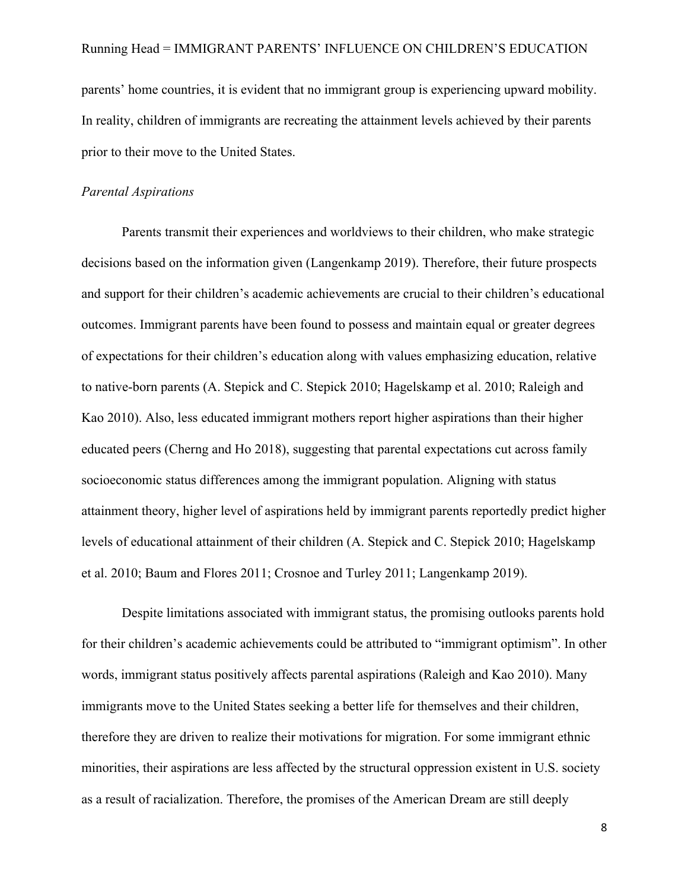parents' home countries, it is evident that no immigrant group is experiencing upward mobility. In reality, children of immigrants are recreating the attainment levels achieved by their parents prior to their move to the United States.

#### *Parental Aspirations*

Parents transmit their experiences and worldviews to their children, who make strategic decisions based on the information given (Langenkamp 2019). Therefore, their future prospects and support for their children's academic achievements are crucial to their children's educational outcomes. Immigrant parents have been found to possess and maintain equal or greater degrees of expectations for their children's education along with values emphasizing education, relative to native-born parents (A. Stepick and C. Stepick 2010; Hagelskamp et al. 2010; Raleigh and Kao 2010). Also, less educated immigrant mothers report higher aspirations than their higher educated peers (Cherng and Ho 2018), suggesting that parental expectations cut across family socioeconomic status differences among the immigrant population. Aligning with status attainment theory, higher level of aspirations held by immigrant parents reportedly predict higher levels of educational attainment of their children (A. Stepick and C. Stepick 2010; Hagelskamp et al. 2010; Baum and Flores 2011; Crosnoe and Turley 2011; Langenkamp 2019).

Despite limitations associated with immigrant status, the promising outlooks parents hold for their children's academic achievements could be attributed to "immigrant optimism". In other words, immigrant status positively affects parental aspirations (Raleigh and Kao 2010). Many immigrants move to the United States seeking a better life for themselves and their children, therefore they are driven to realize their motivations for migration. For some immigrant ethnic minorities, their aspirations are less affected by the structural oppression existent in U.S. society as a result of racialization. Therefore, the promises of the American Dream are still deeply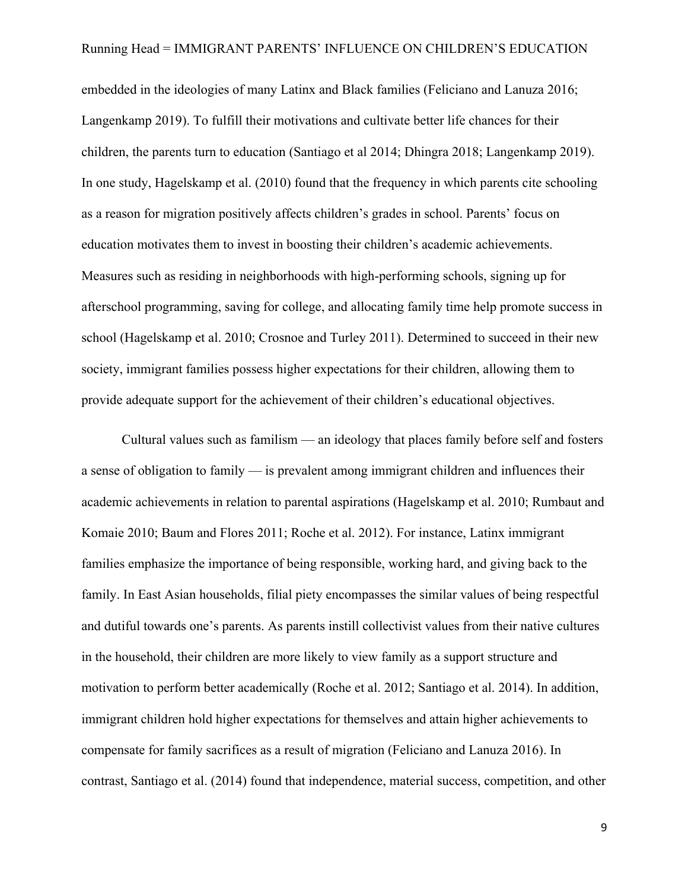embedded in the ideologies of many Latinx and Black families (Feliciano and Lanuza 2016; Langenkamp 2019). To fulfill their motivations and cultivate better life chances for their children, the parents turn to education (Santiago et al 2014; Dhingra 2018; Langenkamp 2019). In one study, Hagelskamp et al. (2010) found that the frequency in which parents cite schooling as a reason for migration positively affects children's grades in school. Parents' focus on education motivates them to invest in boosting their children's academic achievements. Measures such as residing in neighborhoods with high-performing schools, signing up for afterschool programming, saving for college, and allocating family time help promote success in school (Hagelskamp et al. 2010; Crosnoe and Turley 2011). Determined to succeed in their new society, immigrant families possess higher expectations for their children, allowing them to provide adequate support for the achievement of their children's educational objectives.

Cultural values such as familism — an ideology that places family before self and fosters a sense of obligation to family — is prevalent among immigrant children and influences their academic achievements in relation to parental aspirations (Hagelskamp et al. 2010; Rumbaut and Komaie 2010; Baum and Flores 2011; Roche et al. 2012). For instance, Latinx immigrant families emphasize the importance of being responsible, working hard, and giving back to the family. In East Asian households, filial piety encompasses the similar values of being respectful and dutiful towards one's parents. As parents instill collectivist values from their native cultures in the household, their children are more likely to view family as a support structure and motivation to perform better academically (Roche et al. 2012; Santiago et al. 2014). In addition, immigrant children hold higher expectations for themselves and attain higher achievements to compensate for family sacrifices as a result of migration (Feliciano and Lanuza 2016). In contrast, Santiago et al. (2014) found that independence, material success, competition, and other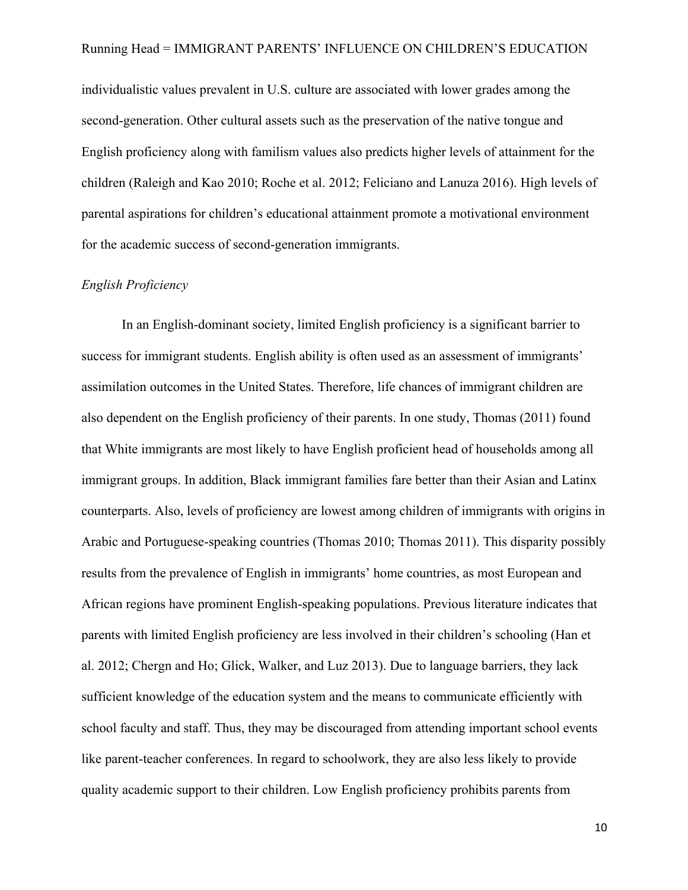individualistic values prevalent in U.S. culture are associated with lower grades among the second-generation. Other cultural assets such as the preservation of the native tongue and English proficiency along with familism values also predicts higher levels of attainment for the children (Raleigh and Kao 2010; Roche et al. 2012; Feliciano and Lanuza 2016). High levels of parental aspirations for children's educational attainment promote a motivational environment for the academic success of second-generation immigrants.

#### *English Proficiency*

In an English-dominant society, limited English proficiency is a significant barrier to success for immigrant students. English ability is often used as an assessment of immigrants' assimilation outcomes in the United States. Therefore, life chances of immigrant children are also dependent on the English proficiency of their parents. In one study, Thomas (2011) found that White immigrants are most likely to have English proficient head of households among all immigrant groups. In addition, Black immigrant families fare better than their Asian and Latinx counterparts. Also, levels of proficiency are lowest among children of immigrants with origins in Arabic and Portuguese-speaking countries (Thomas 2010; Thomas 2011). This disparity possibly results from the prevalence of English in immigrants' home countries, as most European and African regions have prominent English-speaking populations. Previous literature indicates that parents with limited English proficiency are less involved in their children's schooling (Han et al. 2012; Chergn and Ho; Glick, Walker, and Luz 2013). Due to language barriers, they lack sufficient knowledge of the education system and the means to communicate efficiently with school faculty and staff. Thus, they may be discouraged from attending important school events like parent-teacher conferences. In regard to schoolwork, they are also less likely to provide quality academic support to their children. Low English proficiency prohibits parents from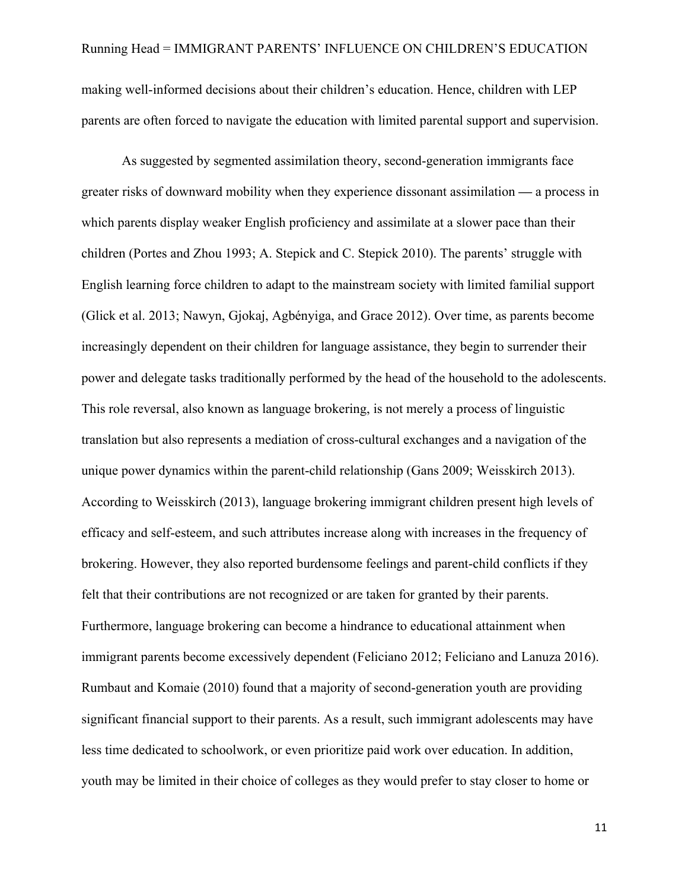making well-informed decisions about their children's education. Hence, children with LEP parents are often forced to navigate the education with limited parental support and supervision.

As suggested by segmented assimilation theory, second-generation immigrants face greater risks of downward mobility when they experience dissonant assimilation **—** a process in which parents display weaker English proficiency and assimilate at a slower pace than their children (Portes and Zhou 1993; A. Stepick and C. Stepick 2010). The parents' struggle with English learning force children to adapt to the mainstream society with limited familial support (Glick et al. 2013; Nawyn, Gjokaj, Agbényiga, and Grace 2012). Over time, as parents become increasingly dependent on their children for language assistance, they begin to surrender their power and delegate tasks traditionally performed by the head of the household to the adolescents. This role reversal, also known as language brokering, is not merely a process of linguistic translation but also represents a mediation of cross-cultural exchanges and a navigation of the unique power dynamics within the parent-child relationship (Gans 2009; Weisskirch 2013). According to Weisskirch (2013), language brokering immigrant children present high levels of efficacy and self-esteem, and such attributes increase along with increases in the frequency of brokering. However, they also reported burdensome feelings and parent-child conflicts if they felt that their contributions are not recognized or are taken for granted by their parents. Furthermore, language brokering can become a hindrance to educational attainment when immigrant parents become excessively dependent (Feliciano 2012; Feliciano and Lanuza 2016). Rumbaut and Komaie (2010) found that a majority of second-generation youth are providing significant financial support to their parents. As a result, such immigrant adolescents may have less time dedicated to schoolwork, or even prioritize paid work over education. In addition, youth may be limited in their choice of colleges as they would prefer to stay closer to home or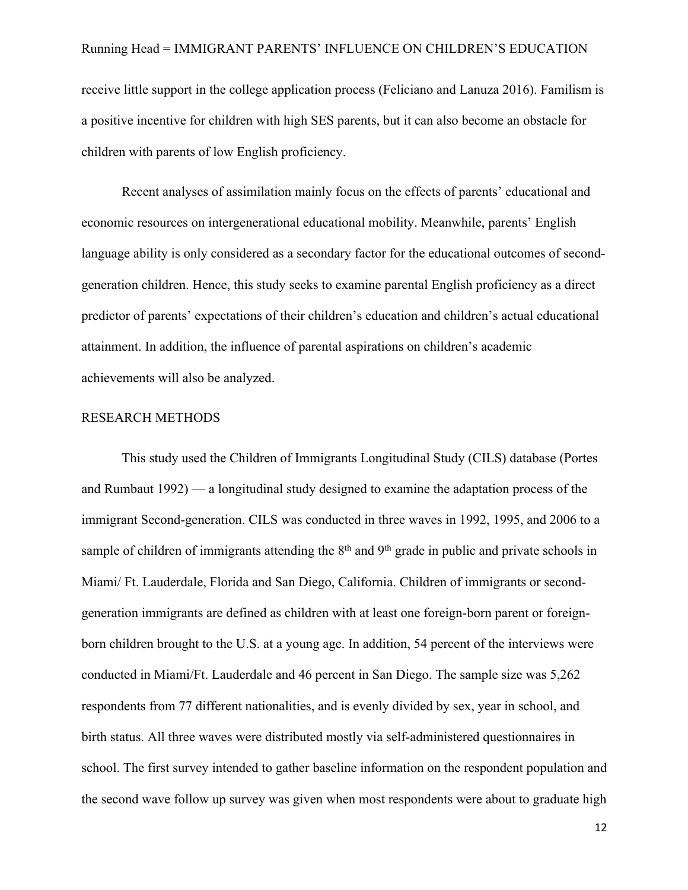receive little support in the college application process (Feliciano and Lanuza 2016). Familism is a positive incentive for children with high SES parents, but it can also become an obstacle for children with parents of low English proficiency.

Recent analyses of assimilation mainly focus on the effects of parents' educational and economic resources on intergenerational educational mobility. Meanwhile, parents' English language ability is only considered as a secondary factor for the educational outcomes of secondgeneration children. Hence, this study seeks to examine parental English proficiency as a direct predictor of parents' expectations of their children's education and children's actual educational attainment. In addition, the influence of parental aspirations on children's academic achievements will also be analyzed.

#### RESEARCH METHODS

This study used the Children of Immigrants Longitudinal Study (CILS) database (Portes and Rumbaut 1992) — a longitudinal study designed to examine the adaptation process of the immigrant Second-generation. CILS was conducted in three waves in 1992, 1995, and 2006 to a sample of children of immigrants attending the  $8<sup>th</sup>$  and  $9<sup>th</sup>$  grade in public and private schools in Miami/ Ft. Lauderdale, Florida and San Diego, California. Children of immigrants or secondgeneration immigrants are defined as children with at least one foreign-born parent or foreignborn children brought to the U.S. at a young age. In addition, 54 percent of the interviews were conducted in Miami/Ft. Lauderdale and 46 percent in San Diego. The sample size was 5,262 respondents from 77 different nationalities, and is evenly divided by sex, year in school, and birth status. All three waves were distributed mostly via self-administered questionnaires in school. The first survey intended to gather baseline information on the respondent population and the second wave follow up survey was given when most respondents were about to graduate high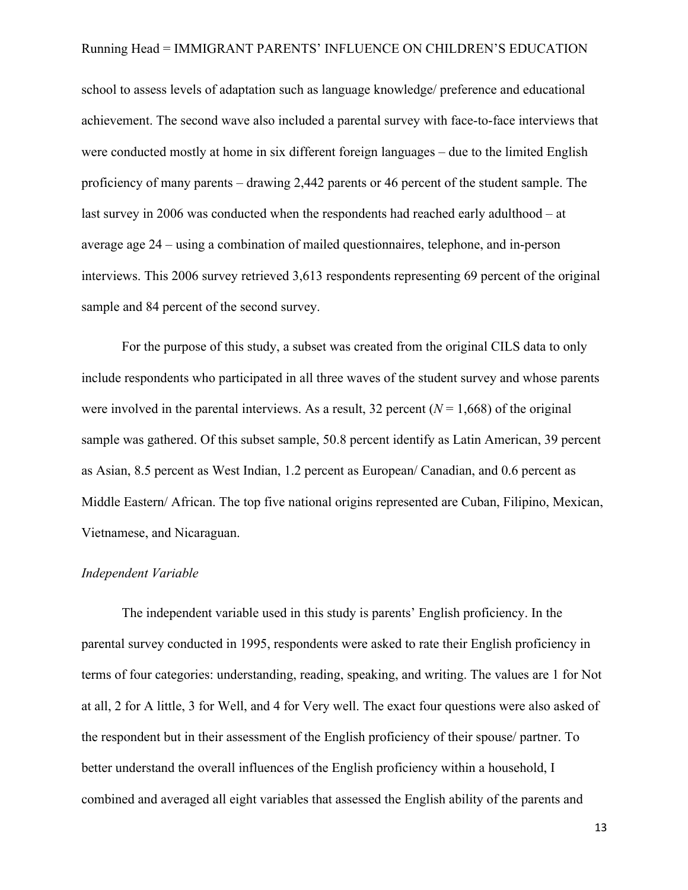school to assess levels of adaptation such as language knowledge/ preference and educational achievement. The second wave also included a parental survey with face-to-face interviews that were conducted mostly at home in six different foreign languages – due to the limited English proficiency of many parents – drawing 2,442 parents or 46 percent of the student sample. The last survey in 2006 was conducted when the respondents had reached early adulthood – at average age 24 – using a combination of mailed questionnaires, telephone, and in-person interviews. This 2006 survey retrieved 3,613 respondents representing 69 percent of the original sample and 84 percent of the second survey.

For the purpose of this study, a subset was created from the original CILS data to only include respondents who participated in all three waves of the student survey and whose parents were involved in the parental interviews. As a result, 32 percent  $(N = 1,668)$  of the original sample was gathered. Of this subset sample, 50.8 percent identify as Latin American, 39 percent as Asian, 8.5 percent as West Indian, 1.2 percent as European/ Canadian, and 0.6 percent as Middle Eastern/ African. The top five national origins represented are Cuban, Filipino, Mexican, Vietnamese, and Nicaraguan.

#### *Independent Variable*

The independent variable used in this study is parents' English proficiency. In the parental survey conducted in 1995, respondents were asked to rate their English proficiency in terms of four categories: understanding, reading, speaking, and writing. The values are 1 for Not at all, 2 for A little, 3 for Well, and 4 for Very well. The exact four questions were also asked of the respondent but in their assessment of the English proficiency of their spouse/ partner. To better understand the overall influences of the English proficiency within a household, I combined and averaged all eight variables that assessed the English ability of the parents and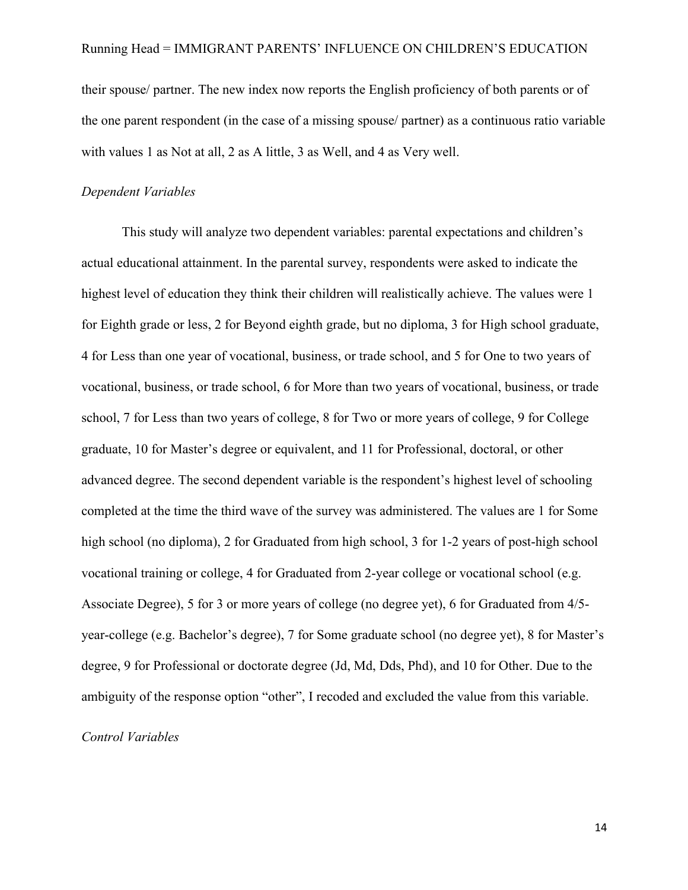their spouse/ partner. The new index now reports the English proficiency of both parents or of the one parent respondent (in the case of a missing spouse/ partner) as a continuous ratio variable with values 1 as Not at all, 2 as A little, 3 as Well, and 4 as Very well.

#### *Dependent Variables*

This study will analyze two dependent variables: parental expectations and children's actual educational attainment. In the parental survey, respondents were asked to indicate the highest level of education they think their children will realistically achieve. The values were 1 for Eighth grade or less, 2 for Beyond eighth grade, but no diploma, 3 for High school graduate, 4 for Less than one year of vocational, business, or trade school, and 5 for One to two years of vocational, business, or trade school, 6 for More than two years of vocational, business, or trade school, 7 for Less than two years of college, 8 for Two or more years of college, 9 for College graduate, 10 for Master's degree or equivalent, and 11 for Professional, doctoral, or other advanced degree. The second dependent variable is the respondent's highest level of schooling completed at the time the third wave of the survey was administered. The values are 1 for Some high school (no diploma), 2 for Graduated from high school, 3 for 1-2 years of post-high school vocational training or college, 4 for Graduated from 2-year college or vocational school (e.g. Associate Degree), 5 for 3 or more years of college (no degree yet), 6 for Graduated from 4/5 year-college (e.g. Bachelor's degree), 7 for Some graduate school (no degree yet), 8 for Master's degree, 9 for Professional or doctorate degree (Jd, Md, Dds, Phd), and 10 for Other. Due to the ambiguity of the response option "other", I recoded and excluded the value from this variable.

#### *Control Variables*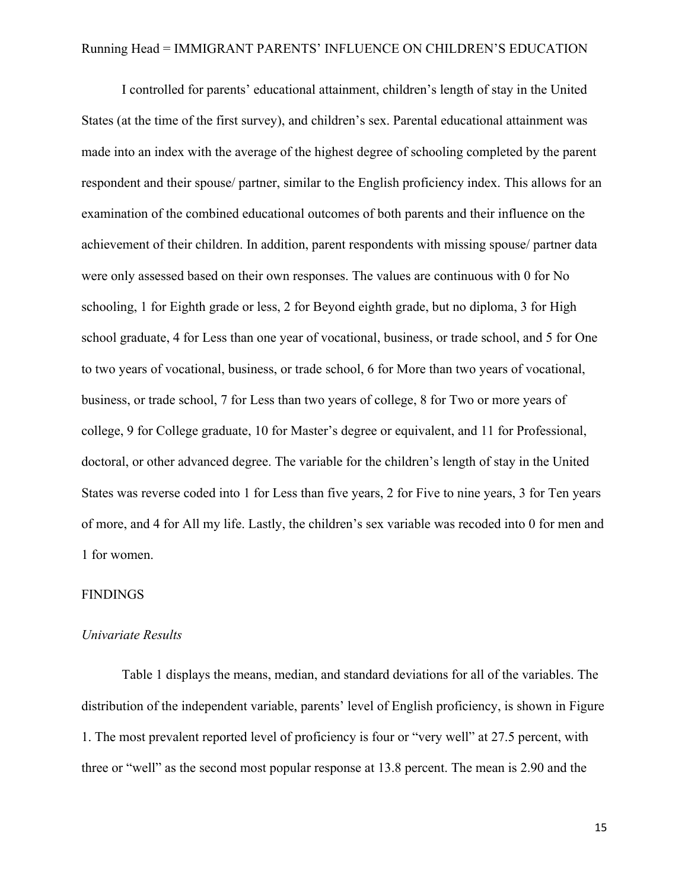I controlled for parents' educational attainment, children's length of stay in the United States (at the time of the first survey), and children's sex. Parental educational attainment was made into an index with the average of the highest degree of schooling completed by the parent respondent and their spouse/ partner, similar to the English proficiency index. This allows for an examination of the combined educational outcomes of both parents and their influence on the achievement of their children. In addition, parent respondents with missing spouse/ partner data were only assessed based on their own responses. The values are continuous with 0 for No schooling, 1 for Eighth grade or less, 2 for Beyond eighth grade, but no diploma, 3 for High school graduate, 4 for Less than one year of vocational, business, or trade school, and 5 for One to two years of vocational, business, or trade school, 6 for More than two years of vocational, business, or trade school, 7 for Less than two years of college, 8 for Two or more years of college, 9 for College graduate, 10 for Master's degree or equivalent, and 11 for Professional, doctoral, or other advanced degree. The variable for the children's length of stay in the United States was reverse coded into 1 for Less than five years, 2 for Five to nine years, 3 for Ten years of more, and 4 for All my life. Lastly, the children's sex variable was recoded into 0 for men and 1 for women.

#### FINDINGS

#### *Univariate Results*

Table 1 displays the means, median, and standard deviations for all of the variables. The distribution of the independent variable, parents' level of English proficiency, is shown in Figure 1. The most prevalent reported level of proficiency is four or "very well" at 27.5 percent, with three or "well" as the second most popular response at 13.8 percent. The mean is 2.90 and the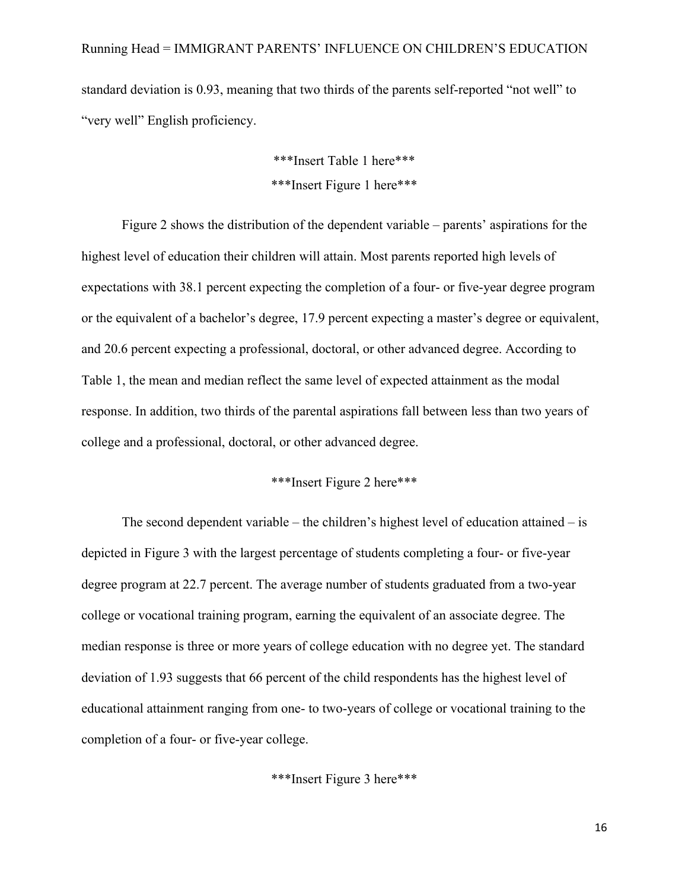standard deviation is 0.93, meaning that two thirds of the parents self-reported "not well" to "very well" English proficiency.

> \*\*\*Insert Table 1 here\*\*\* \*\*\*Insert Figure 1 here\*\*\*

Figure 2 shows the distribution of the dependent variable – parents' aspirations for the highest level of education their children will attain. Most parents reported high levels of expectations with 38.1 percent expecting the completion of a four- or five-year degree program or the equivalent of a bachelor's degree, 17.9 percent expecting a master's degree or equivalent, and 20.6 percent expecting a professional, doctoral, or other advanced degree. According to Table 1, the mean and median reflect the same level of expected attainment as the modal response. In addition, two thirds of the parental aspirations fall between less than two years of college and a professional, doctoral, or other advanced degree.

## \*\*\*Insert Figure 2 here\*\*\*

The second dependent variable – the children's highest level of education attained – is depicted in Figure 3 with the largest percentage of students completing a four- or five-year degree program at 22.7 percent. The average number of students graduated from a two-year college or vocational training program, earning the equivalent of an associate degree. The median response is three or more years of college education with no degree yet. The standard deviation of 1.93 suggests that 66 percent of the child respondents has the highest level of educational attainment ranging from one- to two-years of college or vocational training to the completion of a four- or five-year college.

\*\*\*Insert Figure 3 here\*\*\*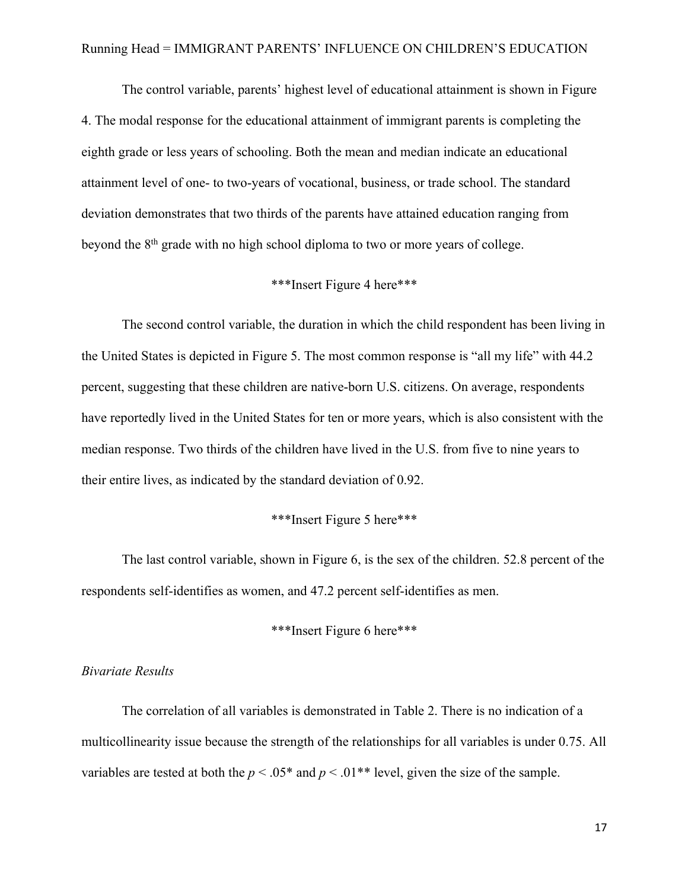The control variable, parents' highest level of educational attainment is shown in Figure 4. The modal response for the educational attainment of immigrant parents is completing the eighth grade or less years of schooling. Both the mean and median indicate an educational attainment level of one- to two-years of vocational, business, or trade school. The standard deviation demonstrates that two thirds of the parents have attained education ranging from beyond the 8<sup>th</sup> grade with no high school diploma to two or more years of college.

#### \*\*\*Insert Figure 4 here\*\*\*

The second control variable, the duration in which the child respondent has been living in the United States is depicted in Figure 5. The most common response is "all my life" with 44.2 percent, suggesting that these children are native-born U.S. citizens. On average, respondents have reportedly lived in the United States for ten or more years, which is also consistent with the median response. Two thirds of the children have lived in the U.S. from five to nine years to their entire lives, as indicated by the standard deviation of 0.92.

#### \*\*\*Insert Figure 5 here\*\*\*

The last control variable, shown in Figure 6, is the sex of the children. 52.8 percent of the respondents self-identifies as women, and 47.2 percent self-identifies as men.

#### \*\*\*Insert Figure 6 here\*\*\*

#### *Bivariate Results*

The correlation of all variables is demonstrated in Table 2. There is no indication of a multicollinearity issue because the strength of the relationships for all variables is under 0.75. All variables are tested at both the  $p < .05^*$  and  $p < .01^{**}$  level, given the size of the sample.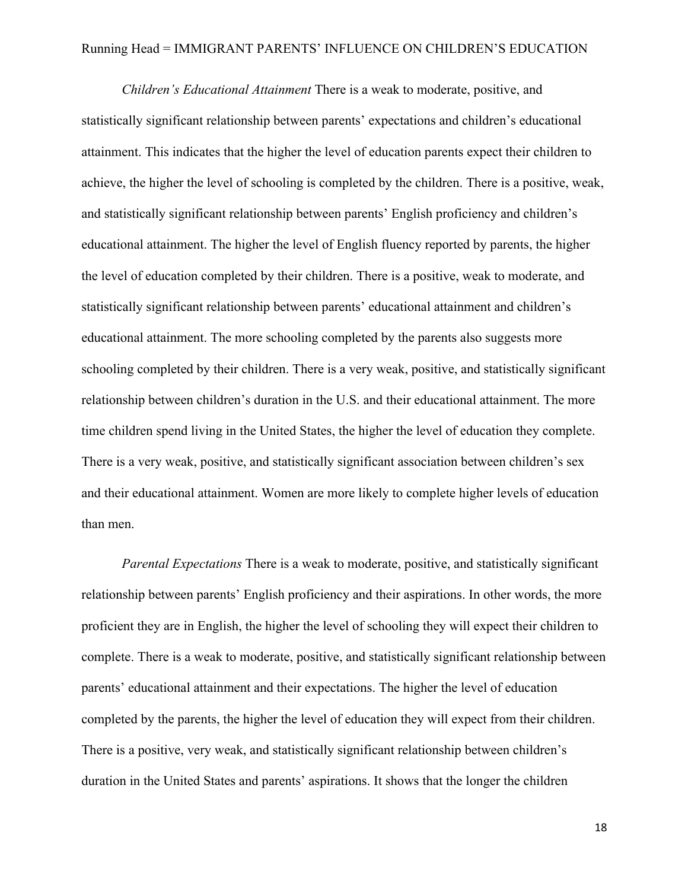*Children's Educational Attainment* There is a weak to moderate, positive, and statistically significant relationship between parents' expectations and children's educational attainment. This indicates that the higher the level of education parents expect their children to achieve, the higher the level of schooling is completed by the children. There is a positive, weak, and statistically significant relationship between parents' English proficiency and children's educational attainment. The higher the level of English fluency reported by parents, the higher the level of education completed by their children. There is a positive, weak to moderate, and statistically significant relationship between parents' educational attainment and children's educational attainment. The more schooling completed by the parents also suggests more schooling completed by their children. There is a very weak, positive, and statistically significant relationship between children's duration in the U.S. and their educational attainment. The more time children spend living in the United States, the higher the level of education they complete. There is a very weak, positive, and statistically significant association between children's sex and their educational attainment. Women are more likely to complete higher levels of education than men.

*Parental Expectations* There is a weak to moderate, positive, and statistically significant relationship between parents' English proficiency and their aspirations. In other words, the more proficient they are in English, the higher the level of schooling they will expect their children to complete. There is a weak to moderate, positive, and statistically significant relationship between parents' educational attainment and their expectations. The higher the level of education completed by the parents, the higher the level of education they will expect from their children. There is a positive, very weak, and statistically significant relationship between children's duration in the United States and parents' aspirations. It shows that the longer the children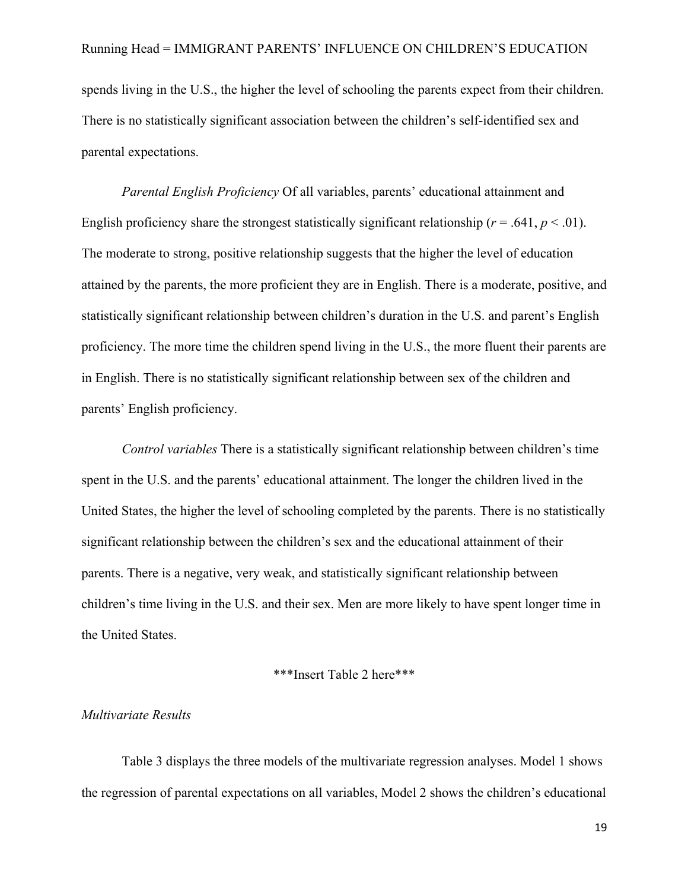spends living in the U.S., the higher the level of schooling the parents expect from their children. There is no statistically significant association between the children's self-identified sex and parental expectations.

*Parental English Proficiency* Of all variables, parents' educational attainment and English proficiency share the strongest statistically significant relationship ( $r = .641$ ,  $p < .01$ ). The moderate to strong, positive relationship suggests that the higher the level of education attained by the parents, the more proficient they are in English. There is a moderate, positive, and statistically significant relationship between children's duration in the U.S. and parent's English proficiency. The more time the children spend living in the U.S., the more fluent their parents are in English. There is no statistically significant relationship between sex of the children and parents' English proficiency.

*Control variables* There is a statistically significant relationship between children's time spent in the U.S. and the parents' educational attainment. The longer the children lived in the United States, the higher the level of schooling completed by the parents. There is no statistically significant relationship between the children's sex and the educational attainment of their parents. There is a negative, very weak, and statistically significant relationship between children's time living in the U.S. and their sex. Men are more likely to have spent longer time in the United States.

#### \*\*\*Insert Table 2 here\*\*\*

#### *Multivariate Results*

Table 3 displays the three models of the multivariate regression analyses. Model 1 shows the regression of parental expectations on all variables, Model 2 shows the children's educational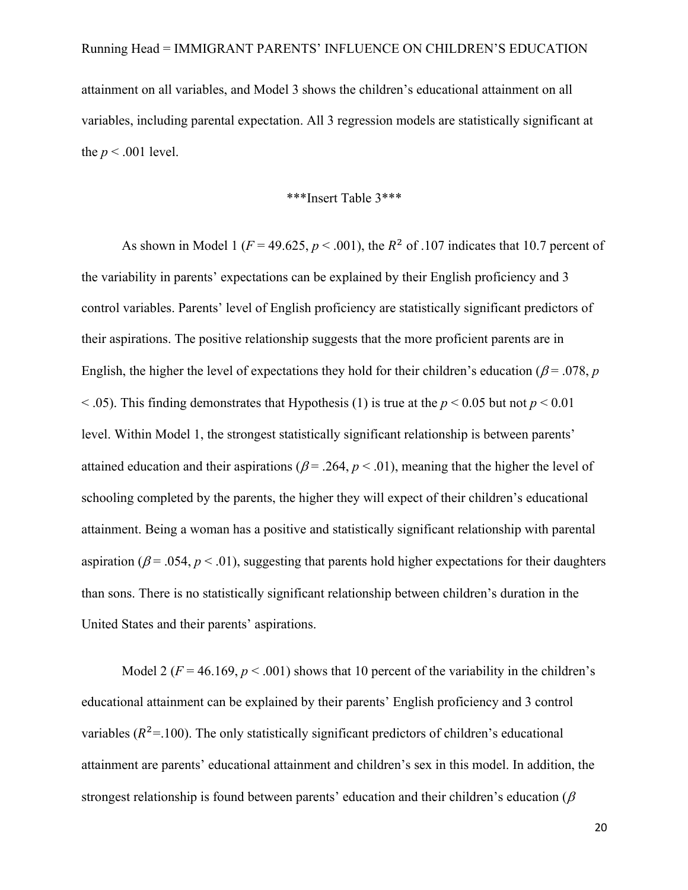attainment on all variables, and Model 3 shows the children's educational attainment on all variables, including parental expectation. All 3 regression models are statistically significant at the  $p < .001$  level.

\*\*\*Insert Table 3\*\*\*

As shown in Model 1 ( $F = 49.625$ ,  $p < .001$ ), the  $R^2$  of .107 indicates that 10.7 percent of the variability in parents' expectations can be explained by their English proficiency and 3 control variables. Parents' level of English proficiency are statistically significant predictors of their aspirations. The positive relationship suggests that the more proficient parents are in English, the higher the level of expectations they hold for their children's education ( $\beta$  = .078, *p*  $\leq$  0.05). This finding demonstrates that Hypothesis (1) is true at the *p*  $\leq$  0.05 but not *p*  $\leq$  0.01 level. Within Model 1, the strongest statistically significant relationship is between parents' attained education and their aspirations ( $\beta$  = .264,  $p$  < .01), meaning that the higher the level of schooling completed by the parents, the higher they will expect of their children's educational attainment. Being a woman has a positive and statistically significant relationship with parental aspiration ( $\beta$  = .054,  $p$  < .01), suggesting that parents hold higher expectations for their daughters than sons. There is no statistically significant relationship between children's duration in the United States and their parents' aspirations.

Model 2 ( $F = 46.169$ ,  $p < .001$ ) shows that 10 percent of the variability in the children's educational attainment can be explained by their parents' English proficiency and 3 control variables ( $R^2$ =.100). The only statistically significant predictors of children's educational attainment are parents' educational attainment and children's sex in this model. In addition, the strongest relationship is found between parents' education and their children's education ( $\beta$ )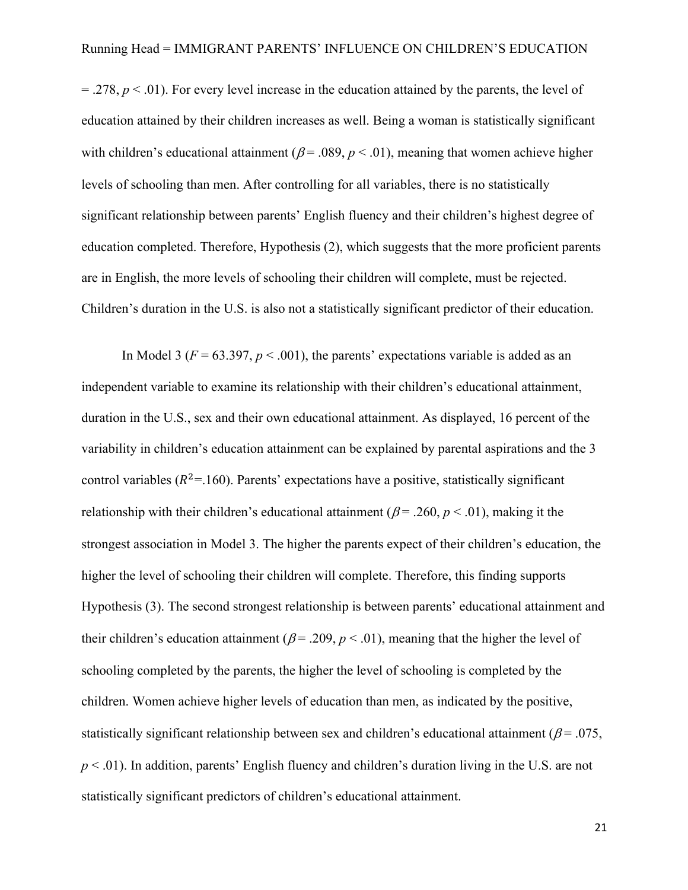$= .278$ ,  $p < .01$ ). For every level increase in the education attained by the parents, the level of education attained by their children increases as well. Being a woman is statistically significant with children's educational attainment ( $\beta$  = .089,  $p$  < .01), meaning that women achieve higher levels of schooling than men. After controlling for all variables, there is no statistically significant relationship between parents' English fluency and their children's highest degree of education completed. Therefore, Hypothesis (2), which suggests that the more proficient parents are in English, the more levels of schooling their children will complete, must be rejected. Children's duration in the U.S. is also not a statistically significant predictor of their education.

In Model 3 ( $F = 63.397$ ,  $p < .001$ ), the parents' expectations variable is added as an independent variable to examine its relationship with their children's educational attainment, duration in the U.S., sex and their own educational attainment. As displayed, 16 percent of the variability in children's education attainment can be explained by parental aspirations and the 3 control variables ( $R^2$ =.160). Parents' expectations have a positive, statistically significant relationship with their children's educational attainment ( $\beta$ = .260,  $p$  < .01), making it the strongest association in Model 3. The higher the parents expect of their children's education, the higher the level of schooling their children will complete. Therefore, this finding supports Hypothesis (3). The second strongest relationship is between parents' educational attainment and their children's education attainment ( $\beta$ = .209,  $p$  < .01), meaning that the higher the level of schooling completed by the parents, the higher the level of schooling is completed by the children. Women achieve higher levels of education than men, as indicated by the positive, statistically significant relationship between sex and children's educational attainment ( $\beta$  = .075, *p* < .01). In addition, parents' English fluency and children's duration living in the U.S. are not statistically significant predictors of children's educational attainment.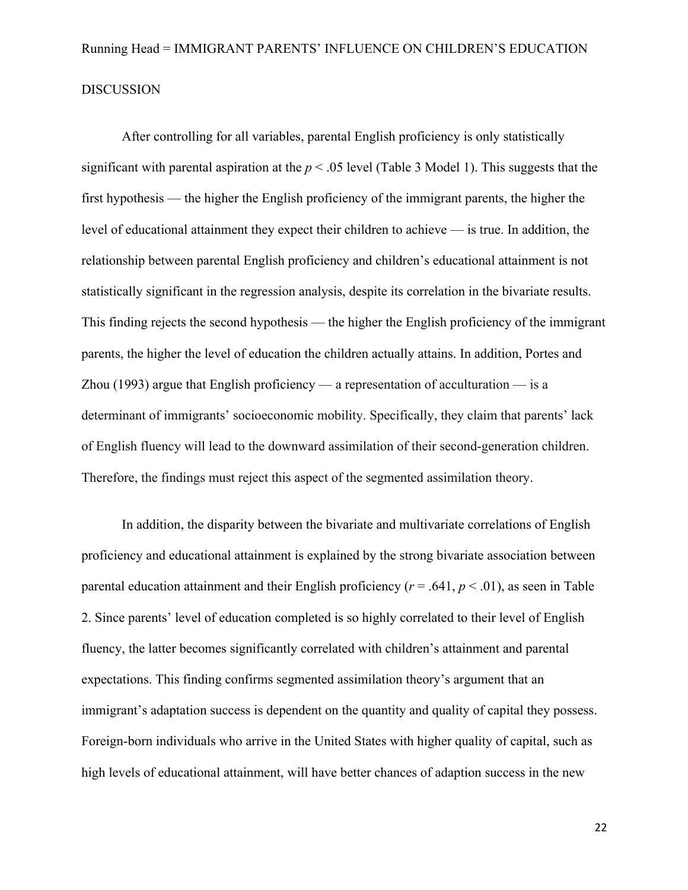After controlling for all variables, parental English proficiency is only statistically significant with parental aspiration at the  $p < .05$  level (Table 3 Model 1). This suggests that the first hypothesis — the higher the English proficiency of the immigrant parents, the higher the level of educational attainment they expect their children to achieve — is true. In addition, the relationship between parental English proficiency and children's educational attainment is not statistically significant in the regression analysis, despite its correlation in the bivariate results. This finding rejects the second hypothesis — the higher the English proficiency of the immigrant parents, the higher the level of education the children actually attains. In addition, Portes and Zhou (1993) argue that English proficiency — a representation of acculturation — is a determinant of immigrants' socioeconomic mobility. Specifically, they claim that parents' lack of English fluency will lead to the downward assimilation of their second-generation children. Therefore, the findings must reject this aspect of the segmented assimilation theory.

In addition, the disparity between the bivariate and multivariate correlations of English proficiency and educational attainment is explained by the strong bivariate association between parental education attainment and their English proficiency (*r* = .641, *p* < .01), as seen in Table 2. Since parents' level of education completed is so highly correlated to their level of English fluency, the latter becomes significantly correlated with children's attainment and parental expectations. This finding confirms segmented assimilation theory's argument that an immigrant's adaptation success is dependent on the quantity and quality of capital they possess. Foreign-born individuals who arrive in the United States with higher quality of capital, such as high levels of educational attainment, will have better chances of adaption success in the new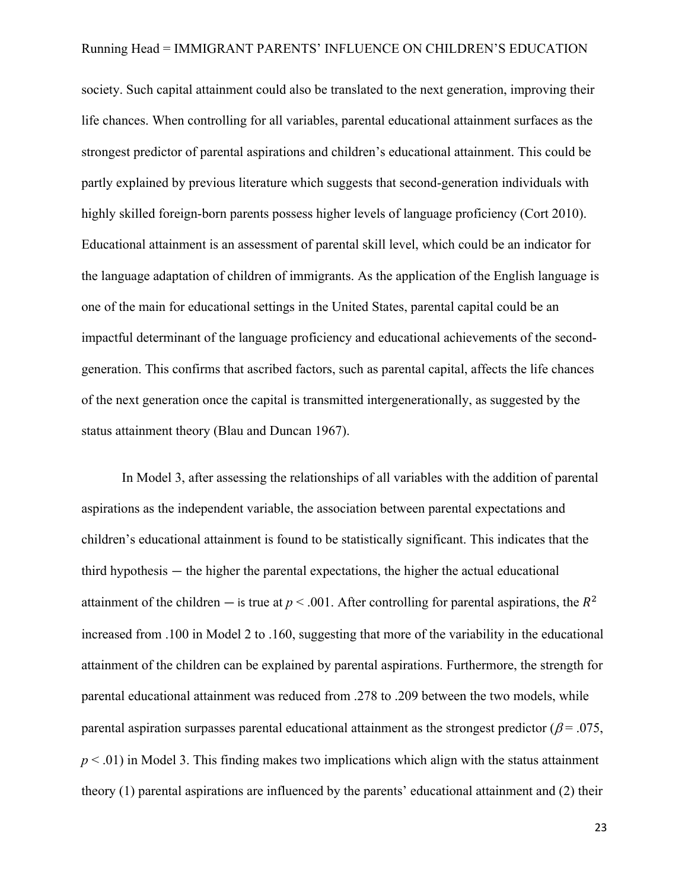society. Such capital attainment could also be translated to the next generation, improving their life chances. When controlling for all variables, parental educational attainment surfaces as the strongest predictor of parental aspirations and children's educational attainment. This could be partly explained by previous literature which suggests that second-generation individuals with highly skilled foreign-born parents possess higher levels of language proficiency (Cort 2010). Educational attainment is an assessment of parental skill level, which could be an indicator for the language adaptation of children of immigrants. As the application of the English language is one of the main for educational settings in the United States, parental capital could be an impactful determinant of the language proficiency and educational achievements of the secondgeneration. This confirms that ascribed factors, such as parental capital, affects the life chances of the next generation once the capital is transmitted intergenerationally, as suggested by the status attainment theory (Blau and Duncan 1967).

In Model 3, after assessing the relationships of all variables with the addition of parental aspirations as the independent variable, the association between parental expectations and children's educational attainment is found to be statistically significant. This indicates that the third hypothesis — the higher the parental expectations, the higher the actual educational attainment of the children — is true at  $p < .001$ . After controlling for parental aspirations, the  $R^2$ increased from .100 in Model 2 to .160, suggesting that more of the variability in the educational attainment of the children can be explained by parental aspirations. Furthermore, the strength for parental educational attainment was reduced from .278 to .209 between the two models, while parental aspiration surpasses parental educational attainment as the strongest predictor ( $\beta$  = .075,  $p < .01$ ) in Model 3. This finding makes two implications which align with the status attainment theory (1) parental aspirations are influenced by the parents' educational attainment and (2) their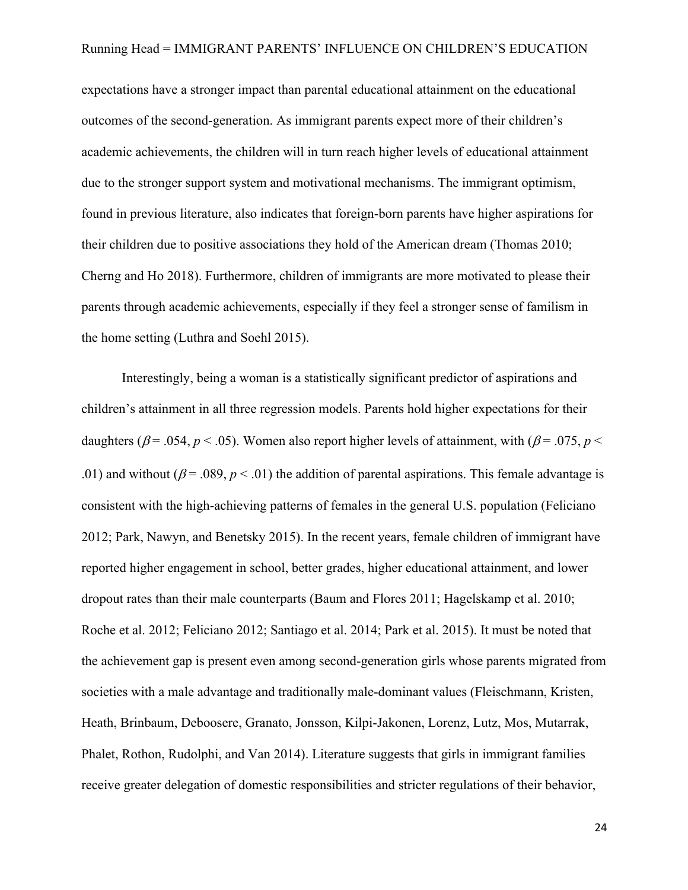expectations have a stronger impact than parental educational attainment on the educational outcomes of the second-generation. As immigrant parents expect more of their children's academic achievements, the children will in turn reach higher levels of educational attainment due to the stronger support system and motivational mechanisms. The immigrant optimism, found in previous literature, also indicates that foreign-born parents have higher aspirations for their children due to positive associations they hold of the American dream (Thomas 2010; Cherng and Ho 2018). Furthermore, children of immigrants are more motivated to please their parents through academic achievements, especially if they feel a stronger sense of familism in the home setting (Luthra and Soehl 2015).

Interestingly, being a woman is a statistically significant predictor of aspirations and children's attainment in all three regression models. Parents hold higher expectations for their daughters ( $\beta$  = .054,  $p$  < .05). Women also report higher levels of attainment, with ( $\beta$  = .075,  $p$  < .01) and without ( $\beta$  = .089,  $p < .01$ ) the addition of parental aspirations. This female advantage is consistent with the high-achieving patterns of females in the general U.S. population (Feliciano 2012; Park, Nawyn, and Benetsky 2015). In the recent years, female children of immigrant have reported higher engagement in school, better grades, higher educational attainment, and lower dropout rates than their male counterparts (Baum and Flores 2011; Hagelskamp et al. 2010; Roche et al. 2012; Feliciano 2012; Santiago et al. 2014; Park et al. 2015). It must be noted that the achievement gap is present even among second-generation girls whose parents migrated from societies with a male advantage and traditionally male-dominant values (Fleischmann, Kristen, Heath, Brinbaum, Deboosere, Granato, Jonsson, Kilpi-Jakonen, Lorenz, Lutz, Mos, Mutarrak, Phalet, Rothon, Rudolphi, and Van 2014). Literature suggests that girls in immigrant families receive greater delegation of domestic responsibilities and stricter regulations of their behavior,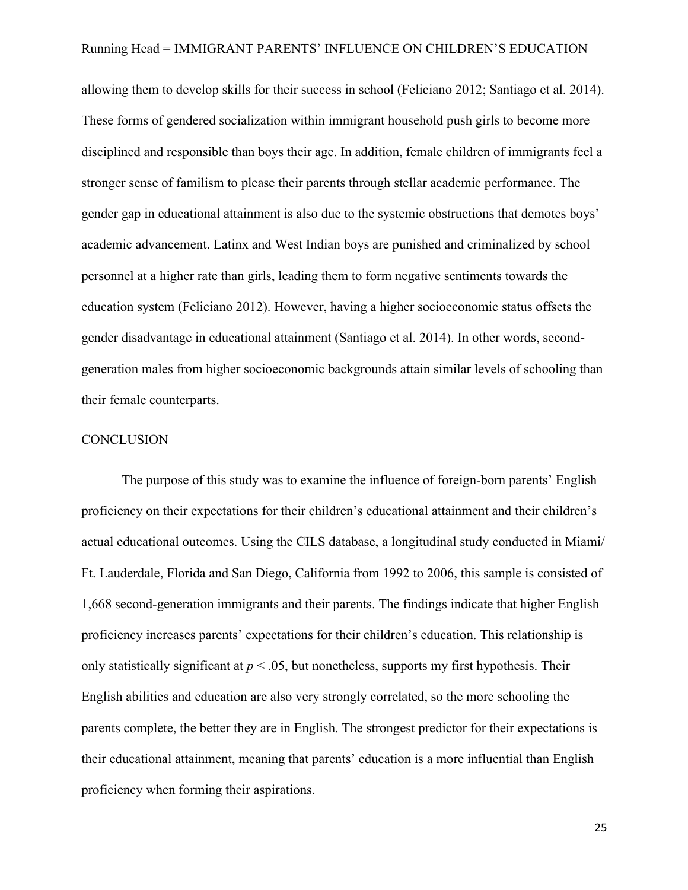allowing them to develop skills for their success in school (Feliciano 2012; Santiago et al. 2014). These forms of gendered socialization within immigrant household push girls to become more disciplined and responsible than boys their age. In addition, female children of immigrants feel a stronger sense of familism to please their parents through stellar academic performance. The gender gap in educational attainment is also due to the systemic obstructions that demotes boys' academic advancement. Latinx and West Indian boys are punished and criminalized by school personnel at a higher rate than girls, leading them to form negative sentiments towards the education system (Feliciano 2012). However, having a higher socioeconomic status offsets the gender disadvantage in educational attainment (Santiago et al. 2014). In other words, secondgeneration males from higher socioeconomic backgrounds attain similar levels of schooling than their female counterparts.

#### **CONCLUSION**

The purpose of this study was to examine the influence of foreign-born parents' English proficiency on their expectations for their children's educational attainment and their children's actual educational outcomes. Using the CILS database, a longitudinal study conducted in Miami/ Ft. Lauderdale, Florida and San Diego, California from 1992 to 2006, this sample is consisted of 1,668 second-generation immigrants and their parents. The findings indicate that higher English proficiency increases parents' expectations for their children's education. This relationship is only statistically significant at  $p < .05$ , but nonetheless, supports my first hypothesis. Their English abilities and education are also very strongly correlated, so the more schooling the parents complete, the better they are in English. The strongest predictor for their expectations is their educational attainment, meaning that parents' education is a more influential than English proficiency when forming their aspirations.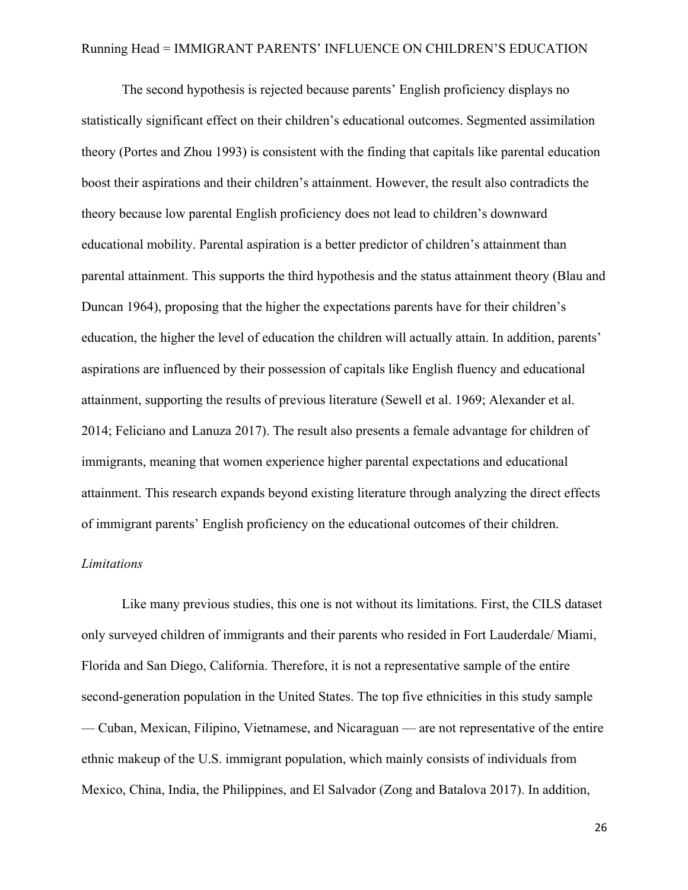The second hypothesis is rejected because parents' English proficiency displays no statistically significant effect on their children's educational outcomes. Segmented assimilation theory (Portes and Zhou 1993) is consistent with the finding that capitals like parental education boost their aspirations and their children's attainment. However, the result also contradicts the theory because low parental English proficiency does not lead to children's downward educational mobility. Parental aspiration is a better predictor of children's attainment than parental attainment. This supports the third hypothesis and the status attainment theory (Blau and Duncan 1964), proposing that the higher the expectations parents have for their children's education, the higher the level of education the children will actually attain. In addition, parents' aspirations are influenced by their possession of capitals like English fluency and educational attainment, supporting the results of previous literature (Sewell et al. 1969; Alexander et al. 2014; Feliciano and Lanuza 2017). The result also presents a female advantage for children of immigrants, meaning that women experience higher parental expectations and educational attainment. This research expands beyond existing literature through analyzing the direct effects of immigrant parents' English proficiency on the educational outcomes of their children.

#### *Limitations*

Like many previous studies, this one is not without its limitations. First, the CILS dataset only surveyed children of immigrants and their parents who resided in Fort Lauderdale/ Miami, Florida and San Diego, California. Therefore, it is not a representative sample of the entire second-generation population in the United States. The top five ethnicities in this study sample — Cuban, Mexican, Filipino, Vietnamese, and Nicaraguan — are not representative of the entire ethnic makeup of the U.S. immigrant population, which mainly consists of individuals from Mexico, China, India, the Philippines, and El Salvador (Zong and Batalova 2017). In addition,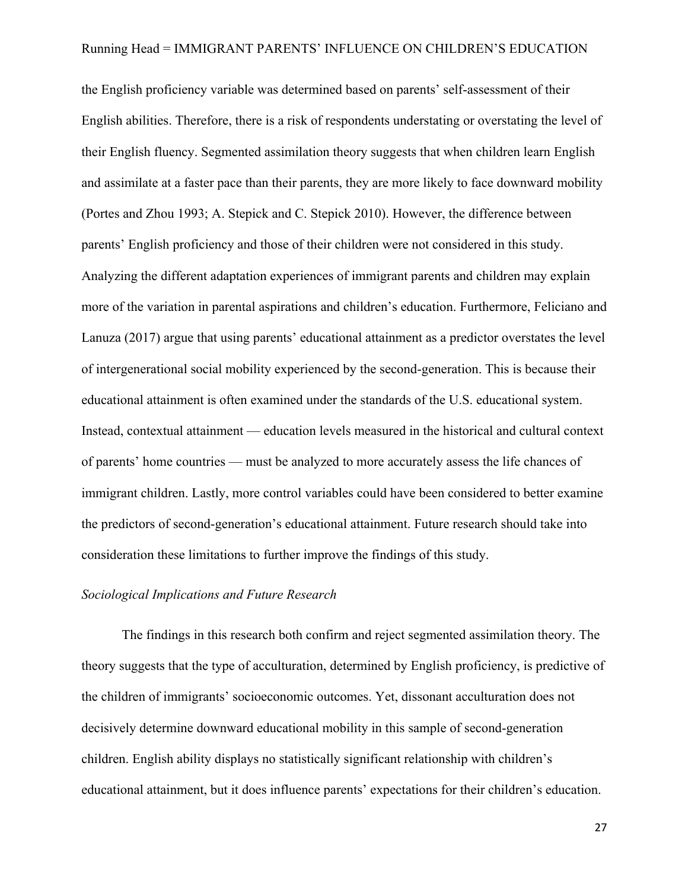the English proficiency variable was determined based on parents' self-assessment of their English abilities. Therefore, there is a risk of respondents understating or overstating the level of their English fluency. Segmented assimilation theory suggests that when children learn English and assimilate at a faster pace than their parents, they are more likely to face downward mobility (Portes and Zhou 1993; A. Stepick and C. Stepick 2010). However, the difference between parents' English proficiency and those of their children were not considered in this study. Analyzing the different adaptation experiences of immigrant parents and children may explain more of the variation in parental aspirations and children's education. Furthermore, Feliciano and Lanuza (2017) argue that using parents' educational attainment as a predictor overstates the level of intergenerational social mobility experienced by the second-generation. This is because their educational attainment is often examined under the standards of the U.S. educational system. Instead, contextual attainment — education levels measured in the historical and cultural context of parents' home countries — must be analyzed to more accurately assess the life chances of immigrant children. Lastly, more control variables could have been considered to better examine the predictors of second-generation's educational attainment. Future research should take into consideration these limitations to further improve the findings of this study.

#### *Sociological Implications and Future Research*

The findings in this research both confirm and reject segmented assimilation theory. The theory suggests that the type of acculturation, determined by English proficiency, is predictive of the children of immigrants' socioeconomic outcomes. Yet, dissonant acculturation does not decisively determine downward educational mobility in this sample of second-generation children. English ability displays no statistically significant relationship with children's educational attainment, but it does influence parents' expectations for their children's education.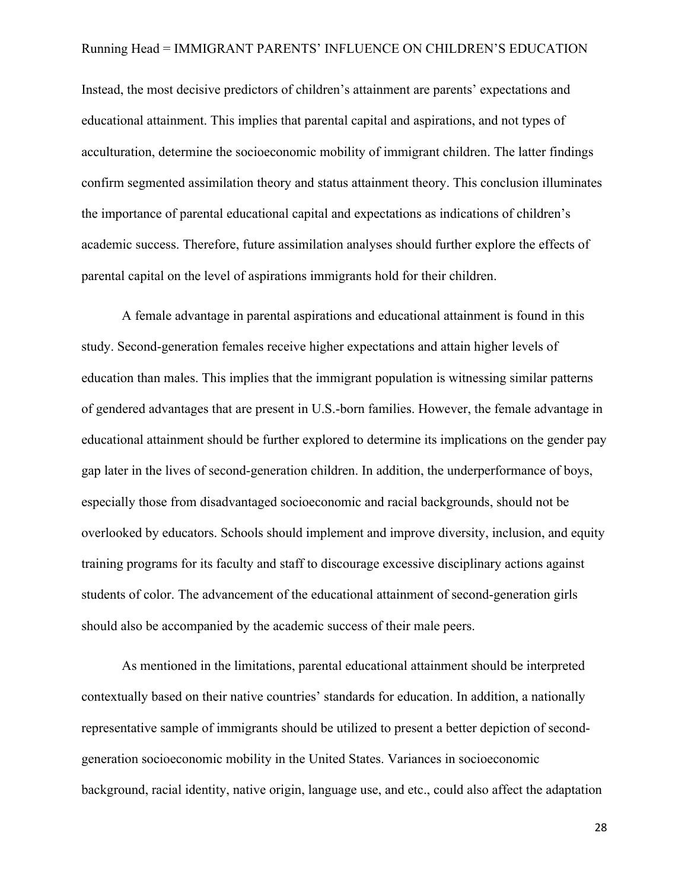Instead, the most decisive predictors of children's attainment are parents' expectations and educational attainment. This implies that parental capital and aspirations, and not types of acculturation, determine the socioeconomic mobility of immigrant children. The latter findings confirm segmented assimilation theory and status attainment theory. This conclusion illuminates the importance of parental educational capital and expectations as indications of children's academic success. Therefore, future assimilation analyses should further explore the effects of parental capital on the level of aspirations immigrants hold for their children.

A female advantage in parental aspirations and educational attainment is found in this study. Second-generation females receive higher expectations and attain higher levels of education than males. This implies that the immigrant population is witnessing similar patterns of gendered advantages that are present in U.S.-born families. However, the female advantage in educational attainment should be further explored to determine its implications on the gender pay gap later in the lives of second-generation children. In addition, the underperformance of boys, especially those from disadvantaged socioeconomic and racial backgrounds, should not be overlooked by educators. Schools should implement and improve diversity, inclusion, and equity training programs for its faculty and staff to discourage excessive disciplinary actions against students of color. The advancement of the educational attainment of second-generation girls should also be accompanied by the academic success of their male peers.

As mentioned in the limitations, parental educational attainment should be interpreted contextually based on their native countries' standards for education. In addition, a nationally representative sample of immigrants should be utilized to present a better depiction of secondgeneration socioeconomic mobility in the United States. Variances in socioeconomic background, racial identity, native origin, language use, and etc., could also affect the adaptation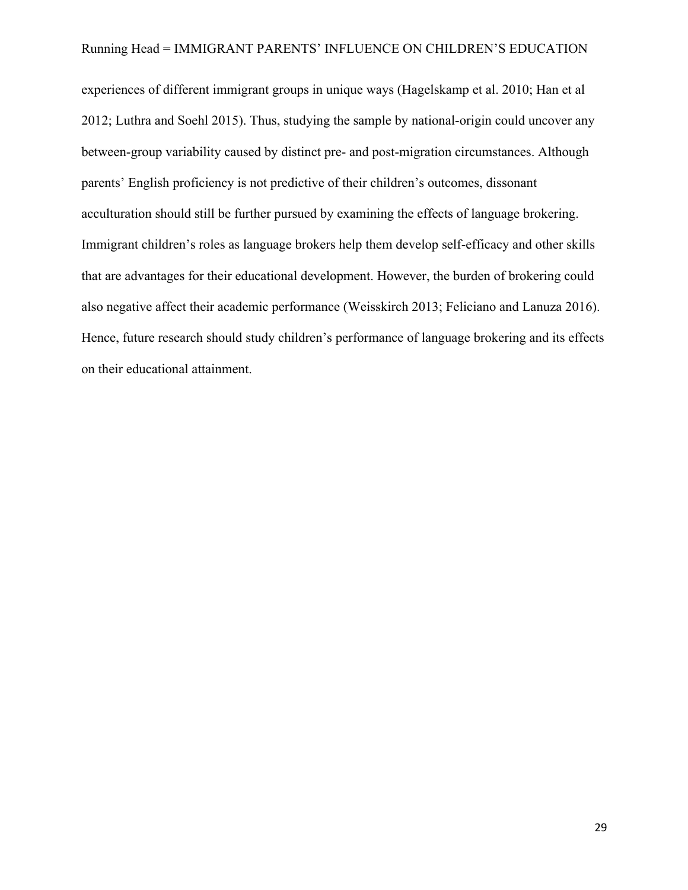experiences of different immigrant groups in unique ways (Hagelskamp et al. 2010; Han et al 2012; Luthra and Soehl 2015). Thus, studying the sample by national-origin could uncover any between-group variability caused by distinct pre- and post-migration circumstances. Although parents' English proficiency is not predictive of their children's outcomes, dissonant acculturation should still be further pursued by examining the effects of language brokering. Immigrant children's roles as language brokers help them develop self-efficacy and other skills that are advantages for their educational development. However, the burden of brokering could also negative affect their academic performance (Weisskirch 2013; Feliciano and Lanuza 2016). Hence, future research should study children's performance of language brokering and its effects on their educational attainment.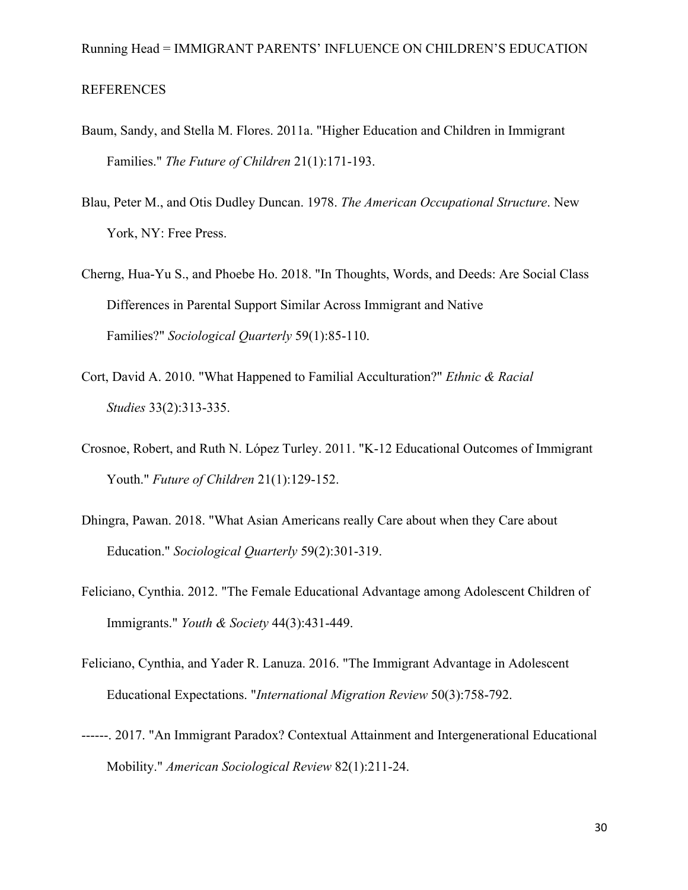- Baum, Sandy, and Stella M. Flores. 2011a. "Higher Education and Children in Immigrant Families." *The Future of Children* 21(1):171-193.
- Blau, Peter M., and Otis Dudley Duncan. 1978. *The American Occupational Structure*. New York, NY: Free Press.
- Cherng, Hua-Yu S., and Phoebe Ho. 2018. "In Thoughts, Words, and Deeds: Are Social Class Differences in Parental Support Similar Across Immigrant and Native Families?" *Sociological Quarterly* 59(1):85-110.
- Cort, David A. 2010. "What Happened to Familial Acculturation?" *Ethnic & Racial Studies* 33(2):313-335.
- Crosnoe, Robert, and Ruth N. López Turley. 2011. "K-12 Educational Outcomes of Immigrant Youth." *Future of Children* 21(1):129-152.
- Dhingra, Pawan. 2018. "What Asian Americans really Care about when they Care about Education." *Sociological Quarterly* 59(2):301-319.
- Feliciano, Cynthia. 2012. "The Female Educational Advantage among Adolescent Children of Immigrants." *Youth & Society* 44(3):431-449.
- Feliciano, Cynthia, and Yader R. Lanuza. 2016. "The Immigrant Advantage in Adolescent Educational Expectations. "*International Migration Review* 50(3):758-792.
- ------. 2017. "An Immigrant Paradox? Contextual Attainment and Intergenerational Educational Mobility." *American Sociological Review* 82(1):211-24.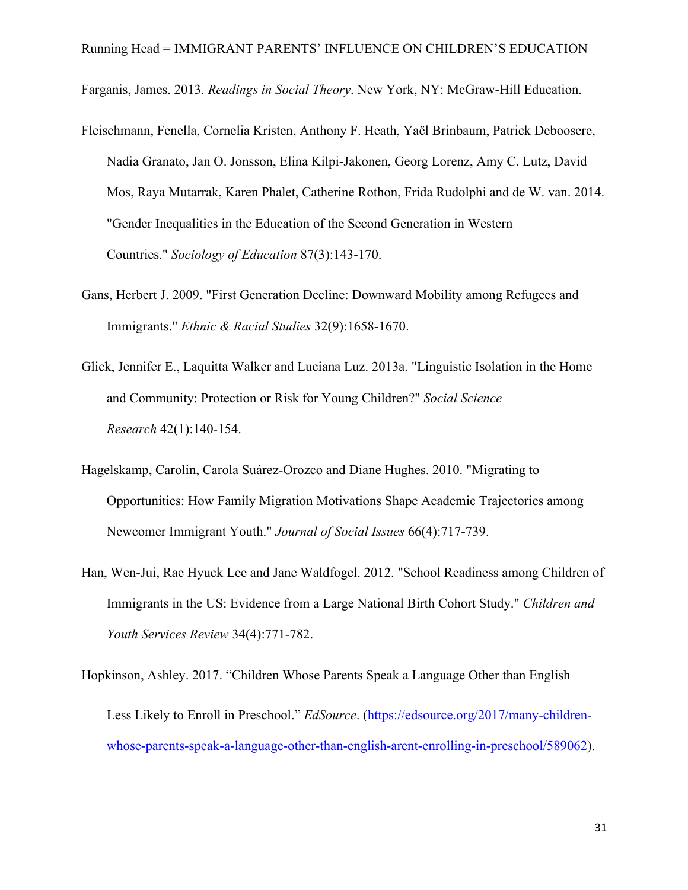Farganis, James. 2013. *Readings in Social Theory*. New York, NY: McGraw-Hill Education.

- Fleischmann, Fenella, Cornelia Kristen, Anthony F. Heath, Yaël Brinbaum, Patrick Deboosere, Nadia Granato, Jan O. Jonsson, Elina Kilpi-Jakonen, Georg Lorenz, Amy C. Lutz, David Mos, Raya Mutarrak, Karen Phalet, Catherine Rothon, Frida Rudolphi and de W. van. 2014. "Gender Inequalities in the Education of the Second Generation in Western Countries." *Sociology of Education* 87(3):143-170.
- Gans, Herbert J. 2009. "First Generation Decline: Downward Mobility among Refugees and Immigrants." *Ethnic & Racial Studies* 32(9):1658-1670.
- Glick, Jennifer E., Laquitta Walker and Luciana Luz. 2013a. "Linguistic Isolation in the Home and Community: Protection or Risk for Young Children?" *Social Science Research* 42(1):140-154.
- Hagelskamp, Carolin, Carola Suárez-Orozco and Diane Hughes. 2010. "Migrating to Opportunities: How Family Migration Motivations Shape Academic Trajectories among Newcomer Immigrant Youth." *Journal of Social Issues* 66(4):717-739.
- Han, Wen-Jui, Rae Hyuck Lee and Jane Waldfogel. 2012. "School Readiness among Children of Immigrants in the US: Evidence from a Large National Birth Cohort Study." *Children and Youth Services Review* 34(4):771-782.
- Hopkinson, Ashley. 2017. "Children Whose Parents Speak a Language Other than English Less Likely to Enroll in Preschool." *EdSource*. (https://edsource.org/2017/many-childrenwhose-parents-speak-a-language-other-than-english-arent-enrolling-in-preschool/589062).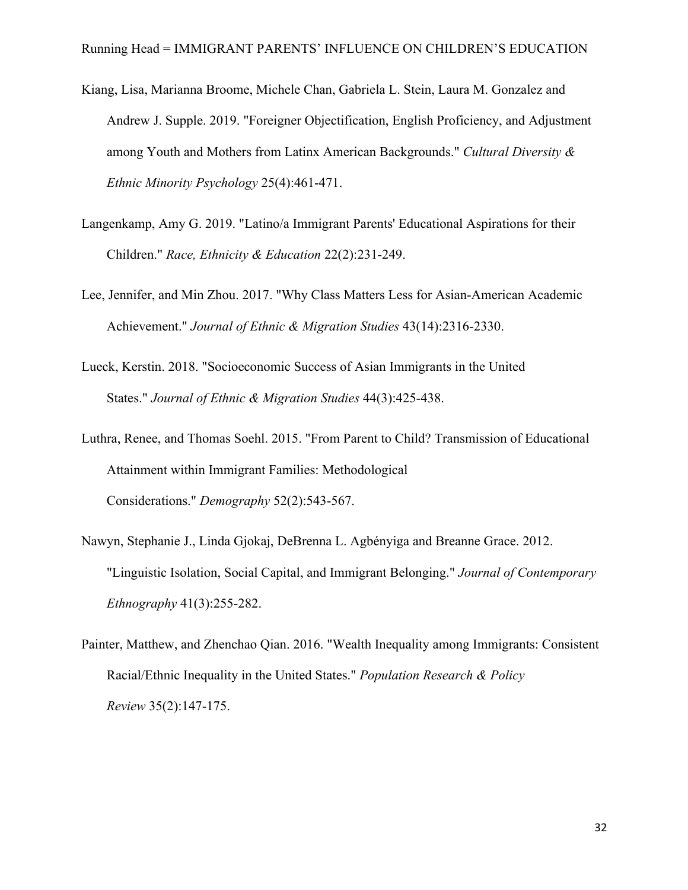- Kiang, Lisa, Marianna Broome, Michele Chan, Gabriela L. Stein, Laura M. Gonzalez and Andrew J. Supple. 2019. "Foreigner Objectification, English Proficiency, and Adjustment among Youth and Mothers from Latinx American Backgrounds." *Cultural Diversity & Ethnic Minority Psychology* 25(4):461-471.
- Langenkamp, Amy G. 2019. "Latino/a Immigrant Parents' Educational Aspirations for their Children." *Race, Ethnicity & Education* 22(2):231-249.
- Lee, Jennifer, and Min Zhou. 2017. "Why Class Matters Less for Asian-American Academic Achievement." *Journal of Ethnic & Migration Studies* 43(14):2316-2330.
- Lueck, Kerstin. 2018. "Socioeconomic Success of Asian Immigrants in the United States." *Journal of Ethnic & Migration Studies* 44(3):425-438.
- Luthra, Renee, and Thomas Soehl. 2015. "From Parent to Child? Transmission of Educational Attainment within Immigrant Families: Methodological Considerations." *Demography* 52(2):543-567.
- Nawyn, Stephanie J., Linda Gjokaj, DeBrenna L. Agbényiga and Breanne Grace. 2012. "Linguistic Isolation, Social Capital, and Immigrant Belonging." *Journal of Contemporary Ethnography* 41(3):255-282.
- Painter, Matthew, and Zhenchao Qian. 2016. "Wealth Inequality among Immigrants: Consistent Racial/Ethnic Inequality in the United States." *Population Research & Policy Review* 35(2):147-175.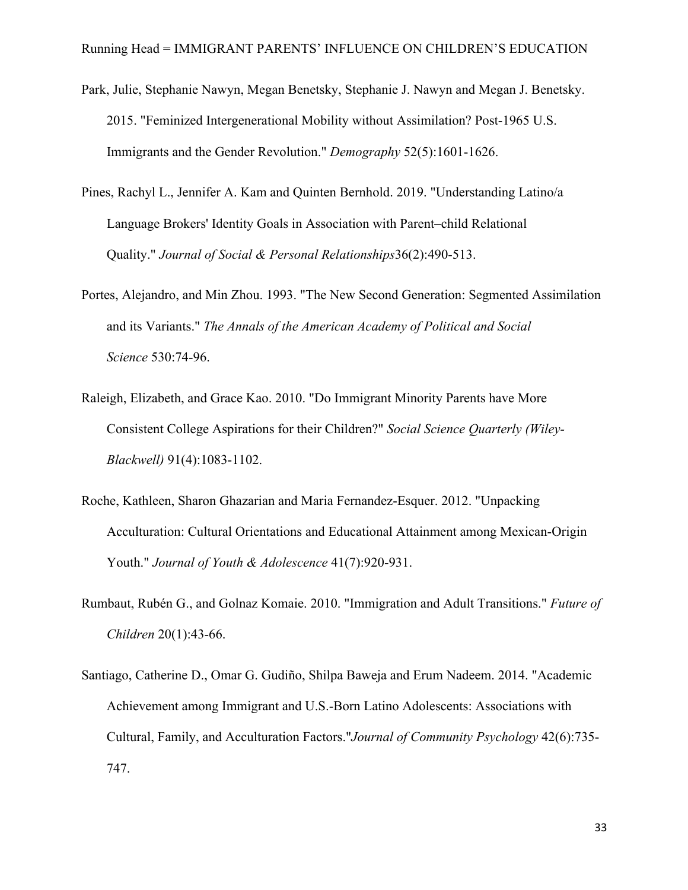- Park, Julie, Stephanie Nawyn, Megan Benetsky, Stephanie J. Nawyn and Megan J. Benetsky. 2015. "Feminized Intergenerational Mobility without Assimilation? Post-1965 U.S. Immigrants and the Gender Revolution." *Demography* 52(5):1601-1626.
- Pines, Rachyl L., Jennifer A. Kam and Quinten Bernhold. 2019. "Understanding Latino/a Language Brokers' Identity Goals in Association with Parent–child Relational Quality." *Journal of Social & Personal Relationships*36(2):490-513.
- Portes, Alejandro, and Min Zhou. 1993. "The New Second Generation: Segmented Assimilation and its Variants." *The Annals of the American Academy of Political and Social Science* 530:74-96.
- Raleigh, Elizabeth, and Grace Kao. 2010. "Do Immigrant Minority Parents have More Consistent College Aspirations for their Children?" *Social Science Quarterly (Wiley-Blackwell)* 91(4):1083-1102.
- Roche, Kathleen, Sharon Ghazarian and Maria Fernandez-Esquer. 2012. "Unpacking Acculturation: Cultural Orientations and Educational Attainment among Mexican-Origin Youth." *Journal of Youth & Adolescence* 41(7):920-931.
- Rumbaut, Rubén G., and Golnaz Komaie. 2010. "Immigration and Adult Transitions." *Future of Children* 20(1):43-66.
- Santiago, Catherine D., Omar G. Gudiño, Shilpa Baweja and Erum Nadeem. 2014. "Academic Achievement among Immigrant and U.S.-Born Latino Adolescents: Associations with Cultural, Family, and Acculturation Factors."*Journal of Community Psychology* 42(6):735- 747.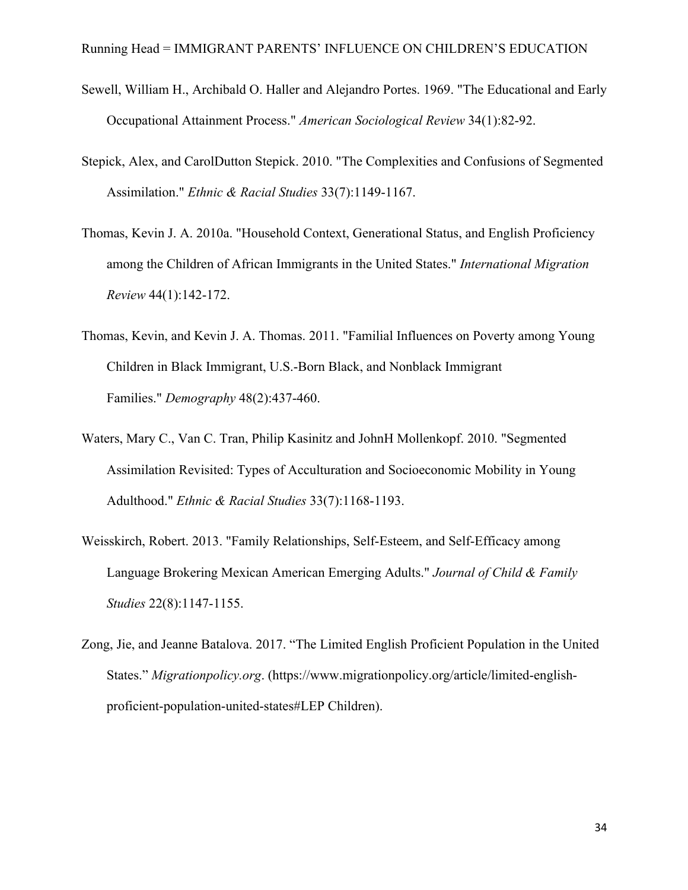- Sewell, William H., Archibald O. Haller and Alejandro Portes. 1969. "The Educational and Early Occupational Attainment Process." *American Sociological Review* 34(1):82-92.
- Stepick, Alex, and CarolDutton Stepick. 2010. "The Complexities and Confusions of Segmented Assimilation." *Ethnic & Racial Studies* 33(7):1149-1167.
- Thomas, Kevin J. A. 2010a. "Household Context, Generational Status, and English Proficiency among the Children of African Immigrants in the United States." *International Migration Review* 44(1):142-172.
- Thomas, Kevin, and Kevin J. A. Thomas. 2011. "Familial Influences on Poverty among Young Children in Black Immigrant, U.S.-Born Black, and Nonblack Immigrant Families." *Demography* 48(2):437-460.
- Waters, Mary C., Van C. Tran, Philip Kasinitz and JohnH Mollenkopf. 2010. "Segmented Assimilation Revisited: Types of Acculturation and Socioeconomic Mobility in Young Adulthood." *Ethnic & Racial Studies* 33(7):1168-1193.
- Weisskirch, Robert. 2013. "Family Relationships, Self-Esteem, and Self-Efficacy among Language Brokering Mexican American Emerging Adults." *Journal of Child & Family Studies* 22(8):1147-1155.
- Zong, Jie, and Jeanne Batalova. 2017. "The Limited English Proficient Population in the United States." *Migrationpolicy.org*. (https://www.migrationpolicy.org/article/limited-englishproficient-population-united-states#LEP Children).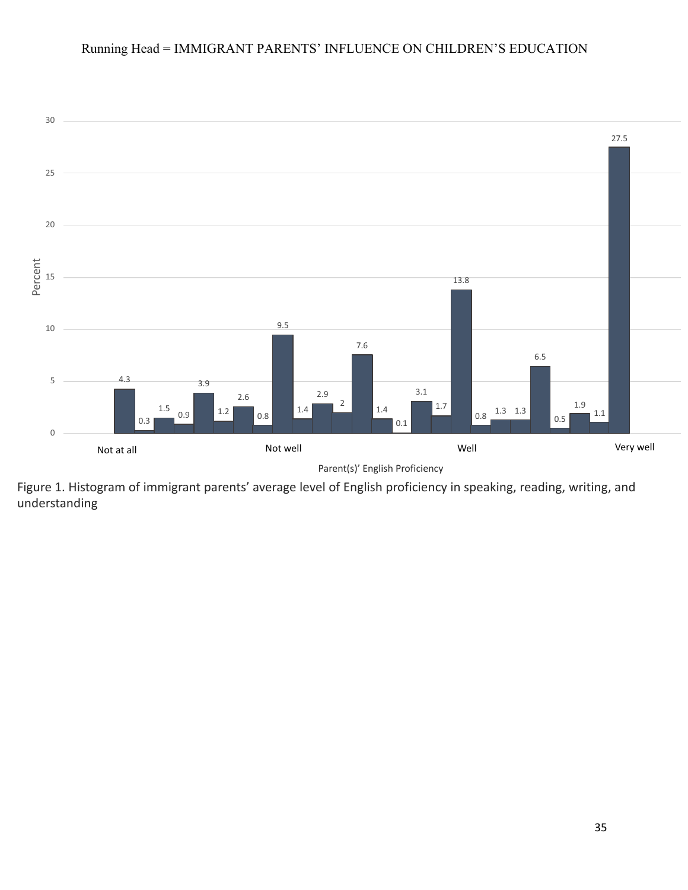

Figure 1. Histogram of immigrant parents' average level of English proficiency in speaking, reading, writing, and understanding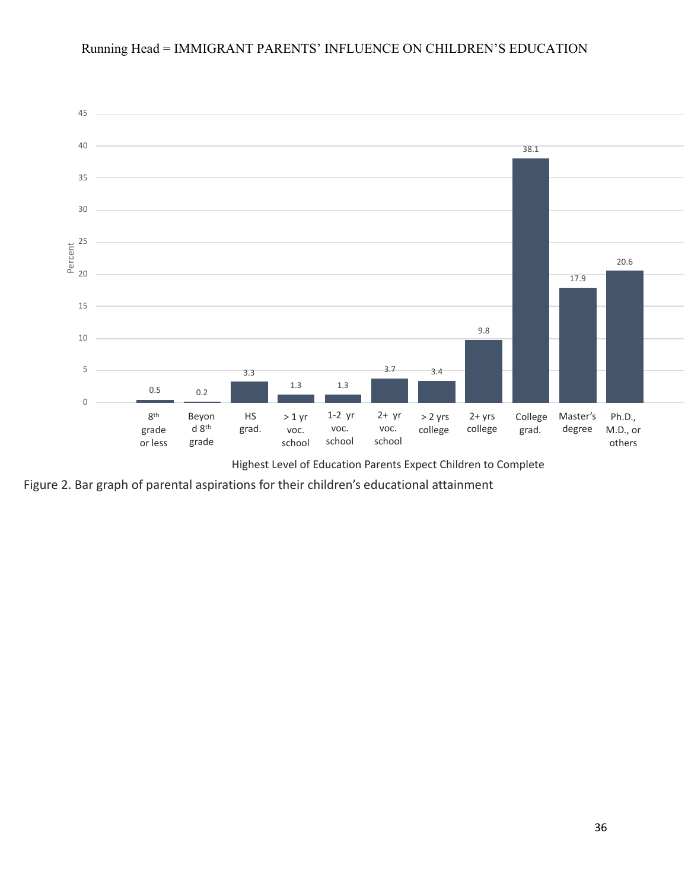

Highest Level of Education Parents Expect Children to Complete

Figure 2. Bar graph of parental aspirations for their children's educational attainment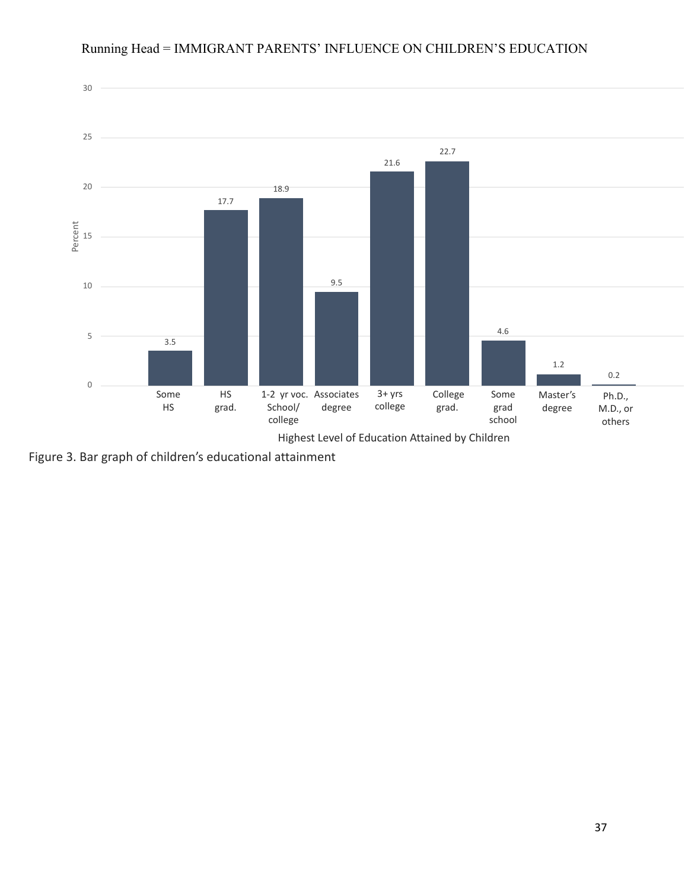

Running Head = IMMIGRANT PARENTS' INFLUENCE ON CHILDREN'S EDUCATION

Figure 3. Bar graph of children's educational attainment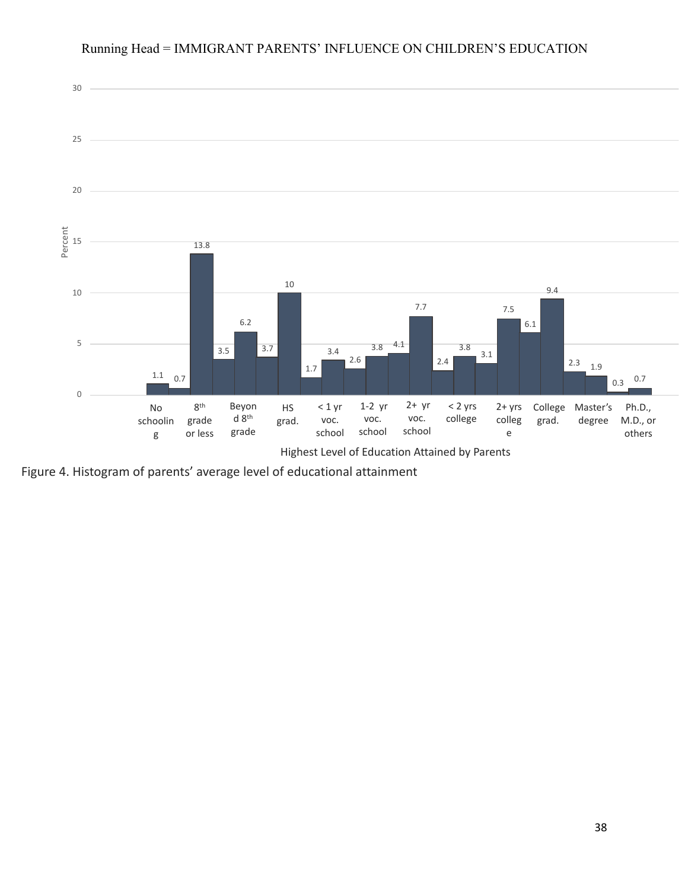

Figure 4. Histogram of parents' average level of educational attainment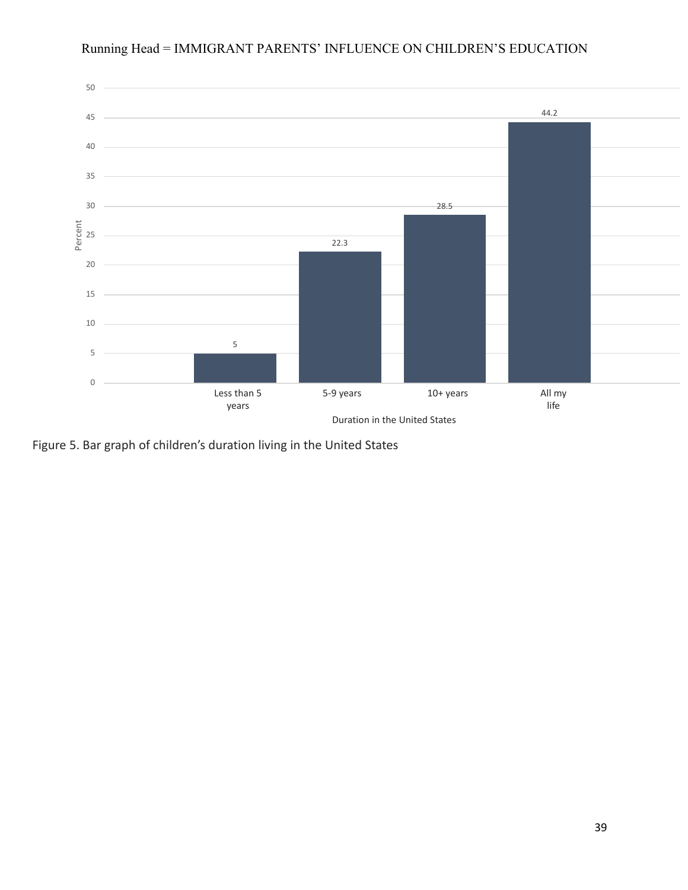

Figure 5. Bar graph of children's duration living in the United States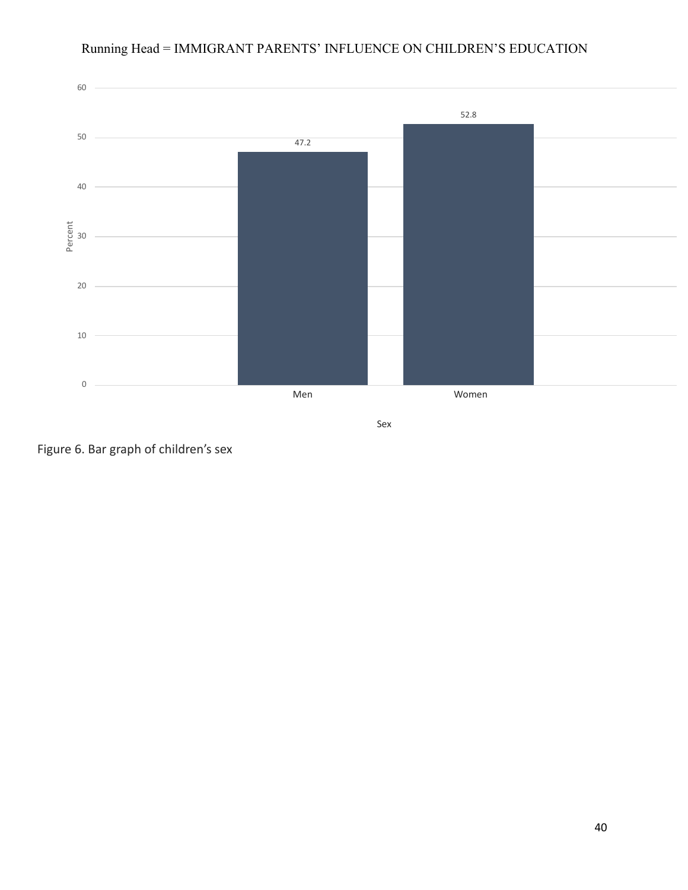

Figure 6. Bar graph of children's sex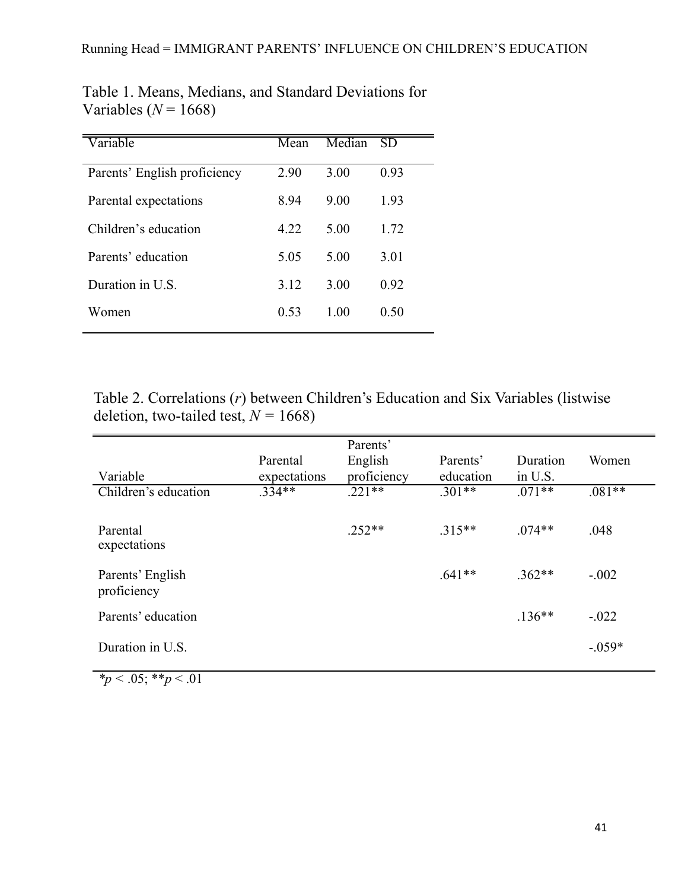| Variable                     | $\overline{\text{Mean}}$ | Median | SD   |
|------------------------------|--------------------------|--------|------|
| Parents' English proficiency | 2.90                     | 3.00   | 0.93 |
| Parental expectations        | 8.94                     | 9.00   | 1.93 |
| Children's education         | 4.22                     | 5.00   | 1.72 |
| Parents' education           | 5.05                     | 5.00   | 3.01 |
| Duration in U.S.             | 3.12                     | 3.00   | 0.92 |
| Women                        | 0.53                     | 1.00   | 0.50 |

Table 1. Means, Medians, and Standard Deviations for Variables  $(N = 1668)$ 

Table 2. Correlations (*r*) between Children's Education and Six Variables (listwise deletion, two-tailed test,  $N = 1668$ )

|                                 |              | Parents'    |           |          |          |
|---------------------------------|--------------|-------------|-----------|----------|----------|
|                                 | Parental     | English     | Parents'  | Duration | Women    |
| Variable                        | expectations | proficiency | education | in U.S.  |          |
| Children's education            | $.334**$     | $.221**$    | $.301**$  | $.071**$ | $.081**$ |
| Parental<br>expectations        |              | $.252**$    | $.315**$  | $.074**$ | .048     |
| Parents' English<br>proficiency |              |             | $.641**$  | $.362**$ | $-.002$  |
| Parents' education              |              |             |           | $.136**$ | $-.022$  |
| Duration in U.S.                |              |             |           |          | $-.059*$ |

 $\frac{*p}{s}$  < .05;  $\frac{*p}{s}$  < .01